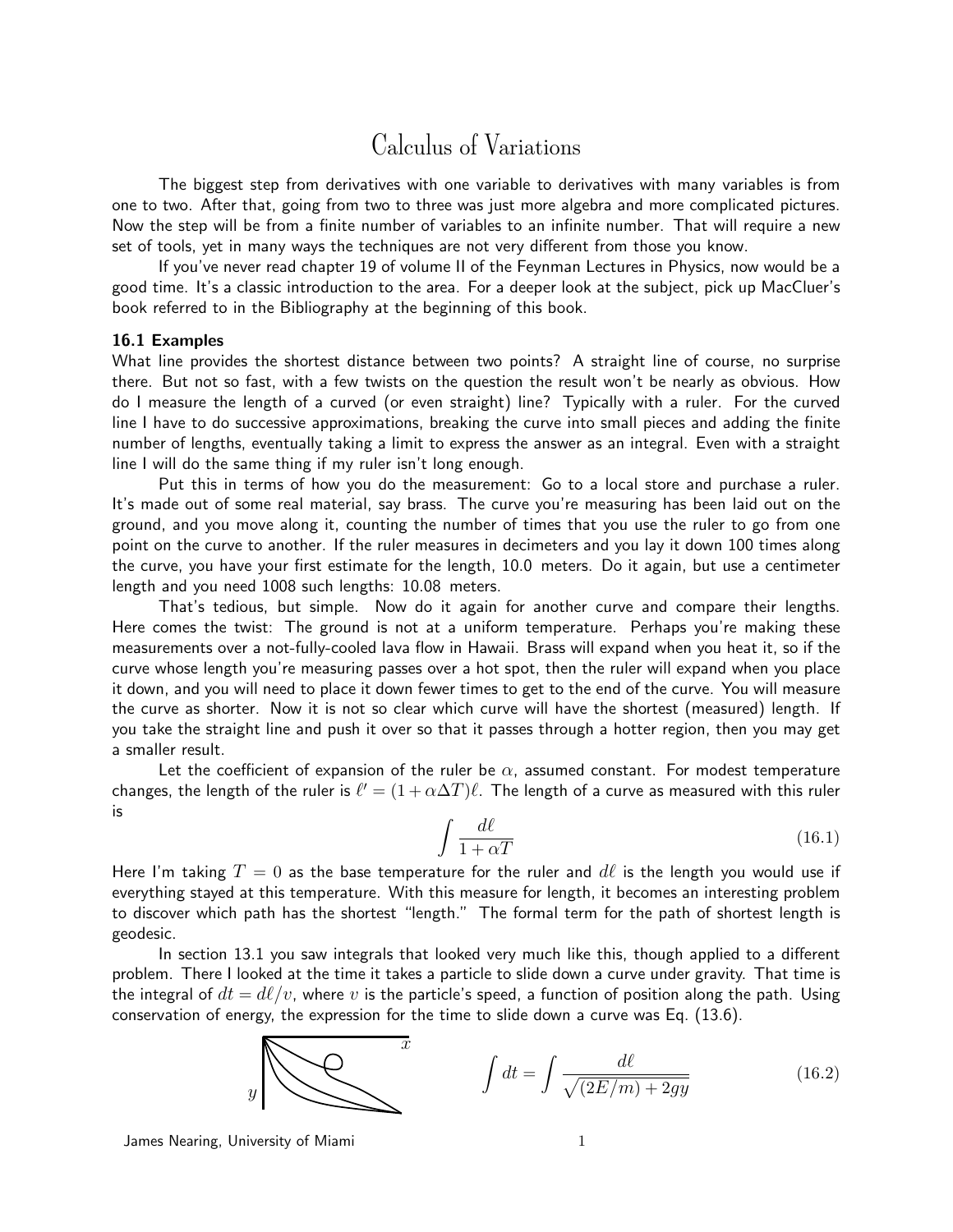# Calculus of Variations

The biggest step from derivatives with one variable to derivatives with many variables is from one to two. After that, going from two to three was just more algebra and more complicated pictures. Now the step will be from a finite number of variables to an infinite number. That will require a new set of tools, yet in many ways the techniques are not very different from those you know.

If you've never read chapter 19 of volume II of the Feynman Lectures in Physics, now would be a good time. It's a classic introduction to the area. For a deeper look at the subject, pick up MacCluer's book referred to in the Bibliography at the beginning of this book.

## 16.1 Examples

What line provides the shortest distance between two points? A straight line of course, no surprise there. But not so fast, with a few twists on the question the result won't be nearly as obvious. How do I measure the length of a curved (or even straight) line? Typically with a ruler. For the curved line I have to do successive approximations, breaking the curve into small pieces and adding the finite number of lengths, eventually taking a limit to express the answer as an integral. Even with a straight line I will do the same thing if my ruler isn't long enough.

Put this in terms of how you do the measurement: Go to a local store and purchase a ruler. It's made out of some real material, say brass. The curve you're measuring has been laid out on the ground, and you move along it, counting the number of times that you use the ruler to go from one point on the curve to another. If the ruler measures in decimeters and you lay it down 100 times along the curve, you have your first estimate for the length, 10.0 meters. Do it again, but use a centimeter length and you need 1008 such lengths: 10.08 meters.

That's tedious, but simple. Now do it again for another curve and compare their lengths. Here comes the twist: The ground is not at a uniform temperature. Perhaps you're making these measurements over a not-fully-cooled lava flow in Hawaii. Brass will expand when you heat it, so if the curve whose length you're measuring passes over a hot spot, then the ruler will expand when you place it down, and you will need to place it down fewer times to get to the end of the curve. You will measure the curve as shorter. Now it is not so clear which curve will have the shortest (measured) length. If you take the straight line and push it over so that it passes through a hotter region, then you may get a smaller result.

Let the coefficient of expansion of the ruler be  $\alpha$ , assumed constant. For modest temperature changes, the length of the ruler is  $\ell' = (1 + \alpha \Delta T)\ell$ . The length of a curve as measured with this ruler is

<span id="page-0-1"></span><span id="page-0-0"></span>
$$
\int \frac{d\ell}{1 + \alpha T} \tag{16.1}
$$

Here I'm taking  $T = 0$  as the base temperature for the ruler and  $d\ell$  is the length you would use if everything stayed at this temperature. With this measure for length, it becomes an interesting problem to discover which path has the shortest "length." The formal term for the path of shortest length is geodesic.

In section 13.1 you saw integrals that looked very much like this, though applied to a different problem. There I looked at the time it takes a particle to slide down a curve under gravity. That time is the integral of  $dt = d\ell/v$ , where v is the particle's speed, a function of position along the path. Using conservation of energy, the expression for the time to slide down a curve was Eq. (13.6).

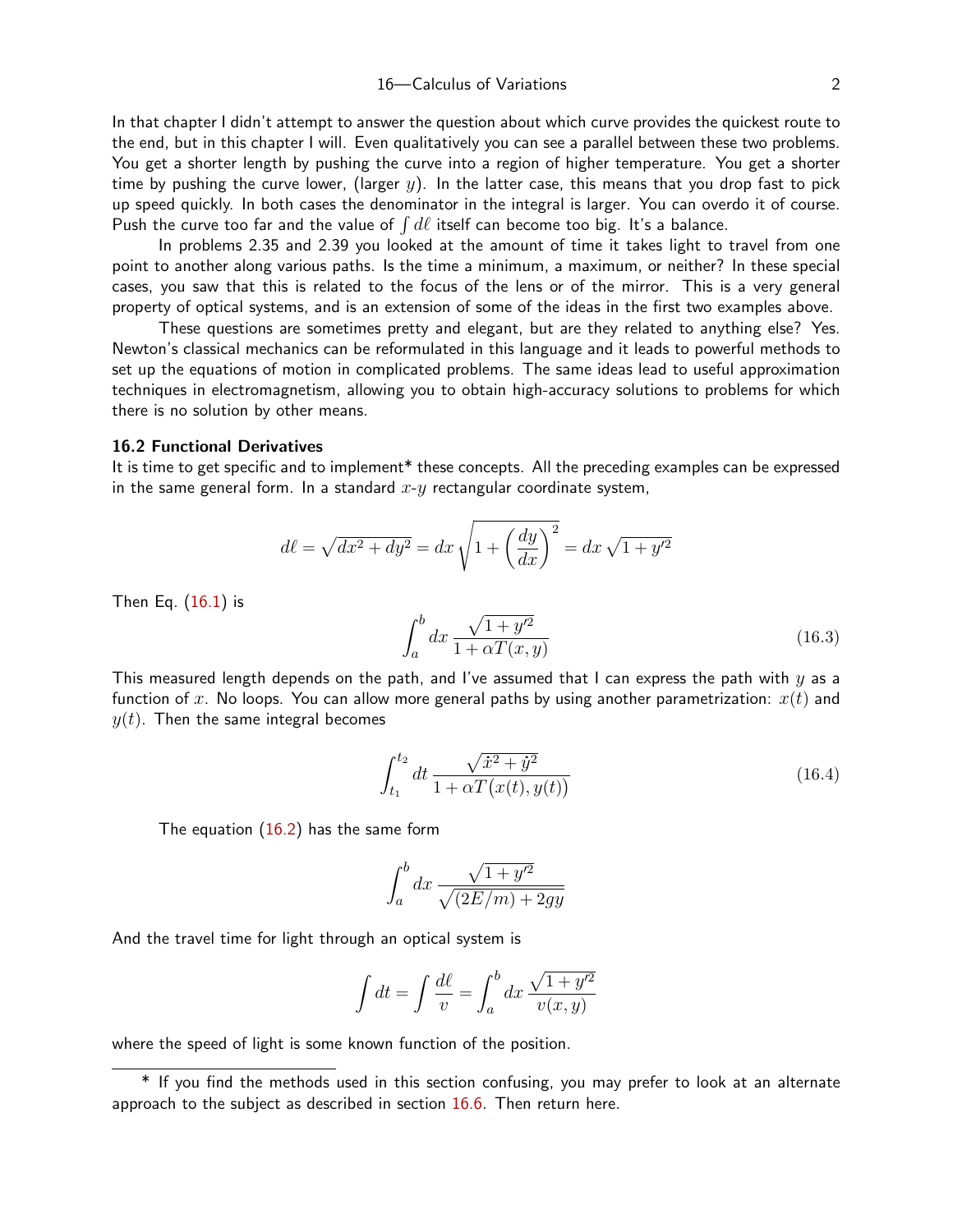In that chapter I didn't attempt to answer the question about which curve provides the quickest route to the end, but in this chapter I will. Even qualitatively you can see a parallel between these two problems. You get a shorter length by pushing the curve into a region of higher temperature. You get a shorter time by pushing the curve lower, (larger  $y$ ). In the latter case, this means that you drop fast to pick up speed quickly. In both cases the denominator in the integral is larger. You can overdo it of course. Push the curve too far and the value of  $\int dl$  itself can become too big. It's a balance.

In problems 2.35 and 2.39 you looked at the amount of time it takes light to travel from one point to another along various paths. Is the time a minimum, a maximum, or neither? In these special cases, you saw that this is related to the focus of the lens or of the mirror. This is a very general property of optical systems, and is an extension of some of the ideas in the first two examples above.

These questions are sometimes pretty and elegant, but are they related to anything else? Yes. Newton's classical mechanics can be reformulated in this language and it leads to powerful methods to set up the equations of motion in complicated problems. The same ideas lead to useful approximation techniques in electromagnetism, allowing you to obtain high-accuracy solutions to problems for which there is no solution by other means.

## 16.2 Functional Derivatives

It is time to get specific and to implement\* these concepts. All the preceding examples can be expressed in the same general form. In a standard  $x-y$  rectangular coordinate system,

$$
d\ell = \sqrt{dx^2 + dy^2} = dx\sqrt{1 + \left(\frac{dy}{dx}\right)^2} = dx\sqrt{1 + y'^2}
$$

Then Eq.  $(16.1)$  $(16.1)$  is

$$
\int_{a}^{b} dx \, \frac{\sqrt{1+y'^2}}{1+\alpha T(x,y)}\tag{16.3}
$$

This measured length depends on the path, and I've assumed that I can express the path with  $y$  as a function of x. No loops. You can allow more general paths by using another parametrization:  $x(t)$  and  $y(t)$ . Then the same integral becomes

<span id="page-1-0"></span>
$$
\int_{t_1}^{t_2} dt \, \frac{\sqrt{\dot{x}^2 + \dot{y}^2}}{1 + \alpha T(x(t), y(t))}
$$
\n(16.4)

The equation  $(16.2)$  $(16.2)$  $(16.2)$  has the same form

$$
\int_{a}^{b} dx \frac{\sqrt{1+y'^2}}{\sqrt{(2E/m)+2gy}}
$$

And the travel time for light through an optical system is

$$
\int dt = \int \frac{d\ell}{v} = \int_a^b dx \, \frac{\sqrt{1 + y'^2}}{v(x, y)}
$$

where the speed of light is some known function of the position.

<sup>\*</sup> If you find the methods used in this section confusing, you may prefer to look at an alternate approach to the subject as described in section [16.6](#page-11-0). Then return here.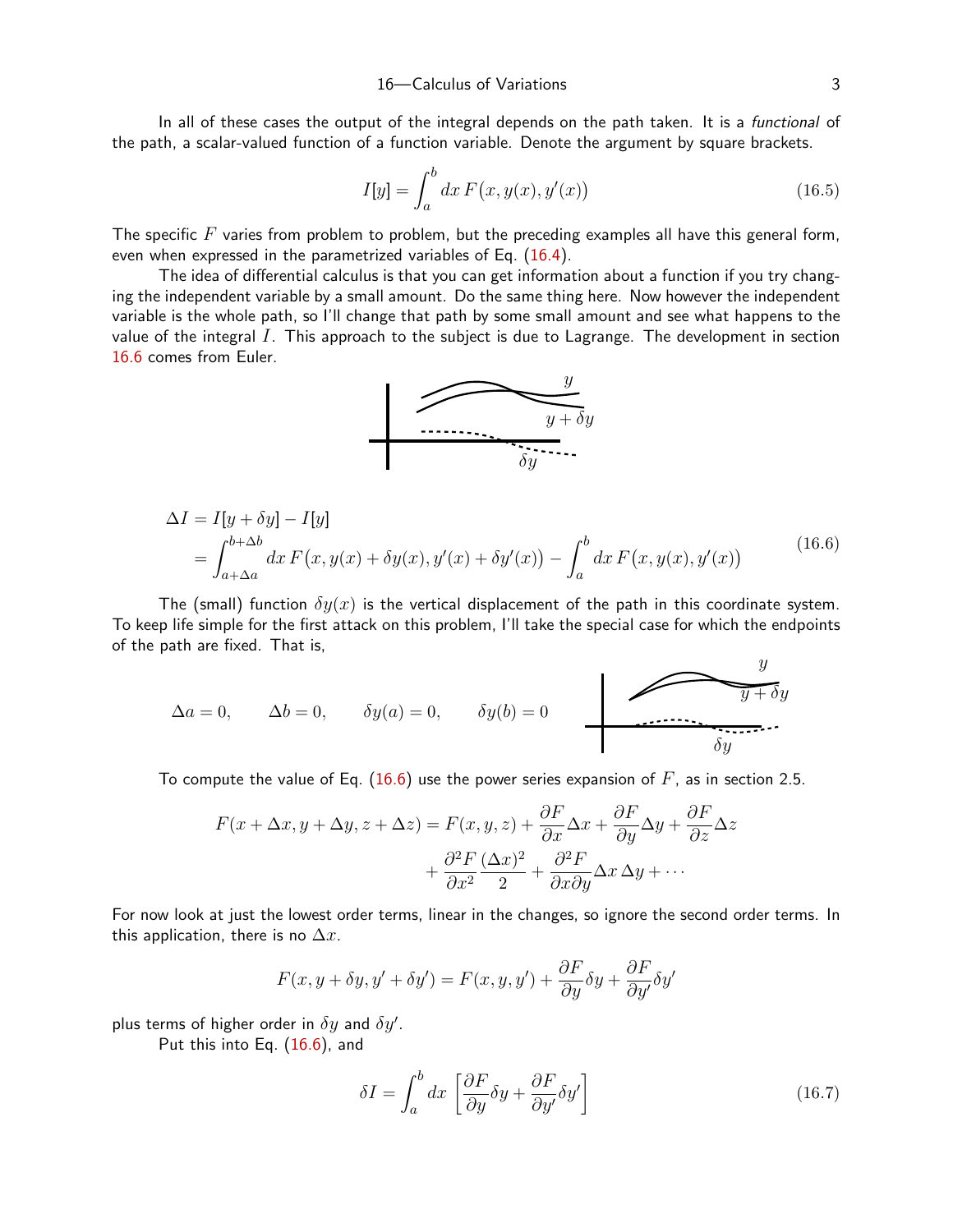In all of these cases the output of the integral depends on the path taken. It is a functional of the path, a scalar-valued function of a function variable. Denote the argument by square brackets.

<span id="page-2-2"></span>
$$
I[y] = \int_{a}^{b} dx F(x, y(x), y'(x))
$$
\n(16.5)

The specific  $F$  varies from problem to problem, but the preceding examples all have this general form, even when expressed in the parametrized variables of Eq. ([16.4](#page-1-0)).

The idea of differential calculus is that you can get information about a function if you try changing the independent variable by a small amount. Do the same thing here. Now however the independent variable is the whole path, so I'll change that path by some small amount and see what happens to the value of the integral  $I$ . This approach to the subject is due to Lagrange. The development in section [16.6](#page-11-0) comes from Euler.

<span id="page-2-0"></span>

$$
\Delta I = I[y + \delta y] - I[y]
$$
  
= 
$$
\int_{a+\Delta a}^{b+\Delta b} dx F(x, y(x) + \delta y(x), y'(x) + \delta y'(x)) - \int_a^b dx F(x, y(x), y'(x))
$$
 (16.6)

The (small) function  $\delta y(x)$  is the vertical displacement of the path in this coordinate system. To keep life simple for the first attack on this problem, I'll take the special case for which the endpoints of the path are fixed. That is,

$$
\Delta a = 0, \qquad \Delta b = 0, \qquad \delta y(a) = 0, \qquad \delta y(b) = 0
$$

To compute the value of Eq. [\(16.6](#page-2-0)) use the power series expansion of  $F$ , as in section 2.5.

$$
F(x + \Delta x, y + \Delta y, z + \Delta z) = F(x, y, z) + \frac{\partial F}{\partial x} \Delta x + \frac{\partial F}{\partial y} \Delta y + \frac{\partial F}{\partial z} \Delta z + \frac{\partial^2 F}{\partial x^2} \frac{(\Delta x)^2}{2} + \frac{\partial^2 F}{\partial x \partial y} \Delta x \Delta y + \cdots
$$

For now look at just the lowest order terms, linear in the changes, so ignore the second order terms. In this application, there is no  $\Delta x$ .

$$
F(x, y + \delta y, y' + \delta y') = F(x, y, y') + \frac{\partial F}{\partial y} \delta y + \frac{\partial F}{\partial y'} \delta y'
$$

plus terms of higher order in  $\delta y$  and  $\delta y'$ .

Put this into Eq. ([16.6](#page-2-0)), and

<span id="page-2-1"></span>
$$
\delta I = \int_{a}^{b} dx \left[ \frac{\partial F}{\partial y} \delta y + \frac{\partial F}{\partial y'} \delta y' \right]
$$
 (16.7)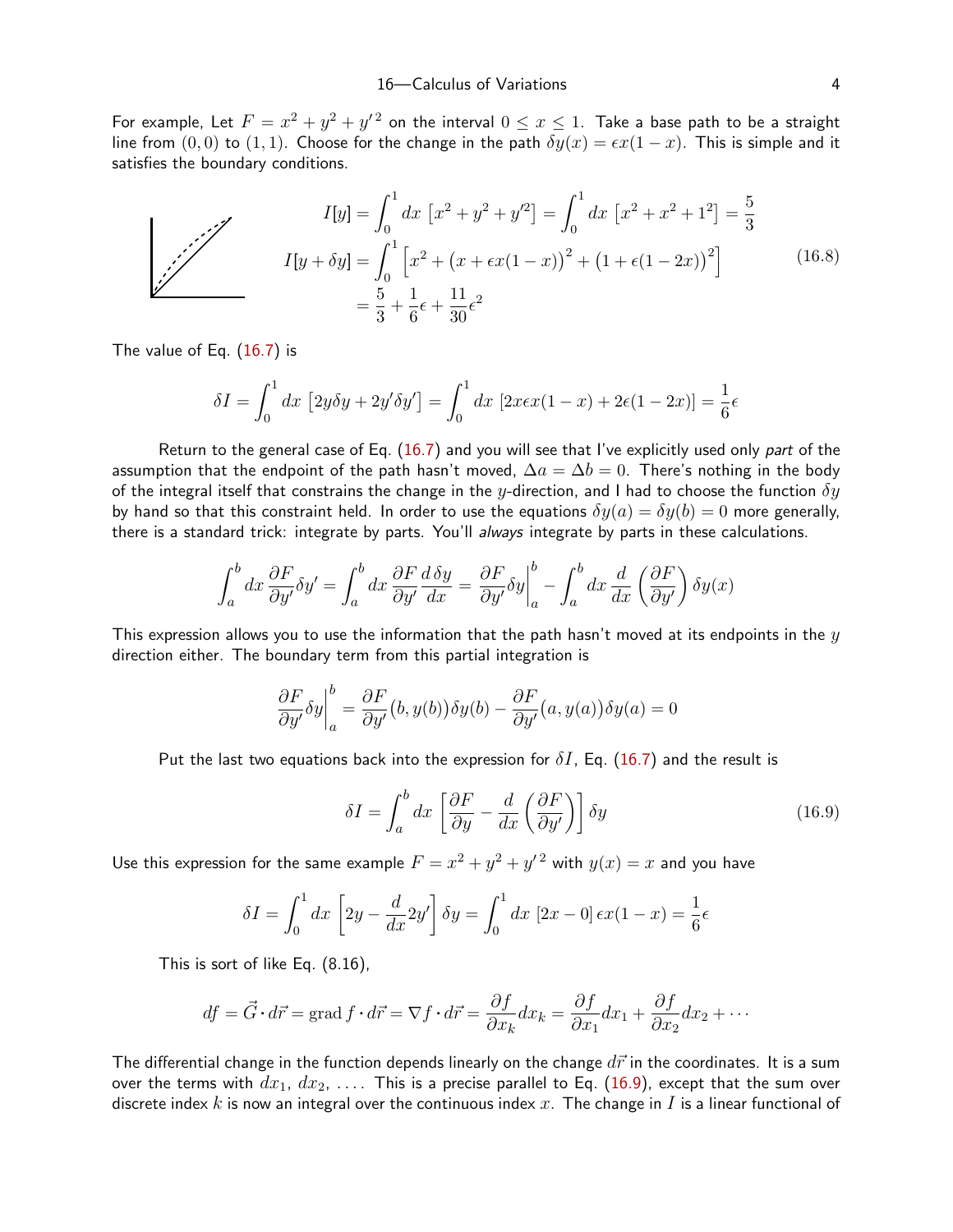For example, Let  $F = x^2 + y^2 + y^{\prime\,2}$  on the interval  $0 \leq x \leq 1.$  Take a base path to be a straight line from (0, 0) to (1, 1). Choose for the change in the path  $\delta y(x) = \epsilon x(1-x)$ . This is simple and it satisfies the boundary conditions.

$$
I[y] = \int_0^1 dx \, [x^2 + y^2 + y'^2] = \int_0^1 dx \, [x^2 + x^2 + 1^2] = \frac{5}{3}
$$
\n
$$
I[y + \delta y] = \int_0^1 \left[ x^2 + (x + \epsilon x(1 - x))^2 + (1 + \epsilon (1 - 2x))^2 \right]
$$
\n
$$
= \frac{5}{3} + \frac{1}{6} \epsilon + \frac{11}{30} \epsilon^2
$$
\n(16.8)

The value of Eq.  $(16.7)$  $(16.7)$  is

<span id="page-3-1"></span>
$$
\delta I = \int_0^1 dx \, [2y \delta y + 2y' \delta y'] = \int_0^1 dx \, [2x \epsilon x (1 - x) + 2\epsilon (1 - 2x)] = \frac{1}{6} \epsilon
$$

Return to the general case of Eq. ([16.7](#page-2-1)) and you will see that I've explicitly used only part of the assumption that the endpoint of the path hasn't moved,  $\Delta a = \Delta b = 0$ . There's nothing in the body of the integral itself that constrains the change in the y-direction, and I had to choose the function  $\delta y$ by hand so that this constraint held. In order to use the equations  $\delta y(a) = \delta y(b) = 0$  more generally, there is a standard trick: integrate by parts. You'll always integrate by parts in these calculations.

$$
\int_{a}^{b} dx \frac{\partial F}{\partial y'} \delta y' = \int_{a}^{b} dx \frac{\partial F}{\partial y'} \frac{d \delta y}{dx} = \frac{\partial F}{\partial y'} \delta y \Big|_{a}^{b} - \int_{a}^{b} dx \frac{d}{dx} \left(\frac{\partial F}{\partial y'}\right) \delta y(x)
$$

This expression allows you to use the information that the path hasn't moved at its endpoints in the  $y$ direction either. The boundary term from this partial integration is

$$
\frac{\partial F}{\partial y'} \delta y \Big|_{a}^{b} = \frac{\partial F}{\partial y'}(b, y(b)) \delta y(b) - \frac{\partial F}{\partial y'}(a, y(a)) \delta y(a) = 0
$$

Put the last two equations back into the expression for  $\delta I$ , Eq. ([16.7](#page-2-1)) and the result is

<span id="page-3-0"></span>
$$
\delta I = \int_{a}^{b} dx \left[ \frac{\partial F}{\partial y} - \frac{d}{dx} \left( \frac{\partial F}{\partial y'} \right) \right] \delta y \tag{16.9}
$$

Use this expression for the same example  $F = x^2 + y^2 + y^{\prime\,2}$  with  $y(x) = x$  and you have

$$
\delta I = \int_0^1 dx \left[ 2y - \frac{d}{dx} 2y' \right] \delta y = \int_0^1 dx \ [2x - 0] \epsilon x (1 - x) = \frac{1}{6} \epsilon
$$

This is sort of like Eq. (8.16),

$$
df = \vec{G} \cdot d\vec{r} = \text{grad } f \cdot d\vec{r} = \nabla f \cdot d\vec{r} = \frac{\partial f}{\partial x_k} dx_k = \frac{\partial f}{\partial x_1} dx_1 + \frac{\partial f}{\partial x_2} dx_2 + \cdots
$$

The differential change in the function depends linearly on the change  $d\vec{r}$  in the coordinates. It is a sum over the terms with  $dx_1, dx_2, \ldots$ . This is a precise parallel to Eq. ([16.9](#page-3-0)), except that the sum over discrete index k is now an integral over the continuous index x. The change in I is a linear functional of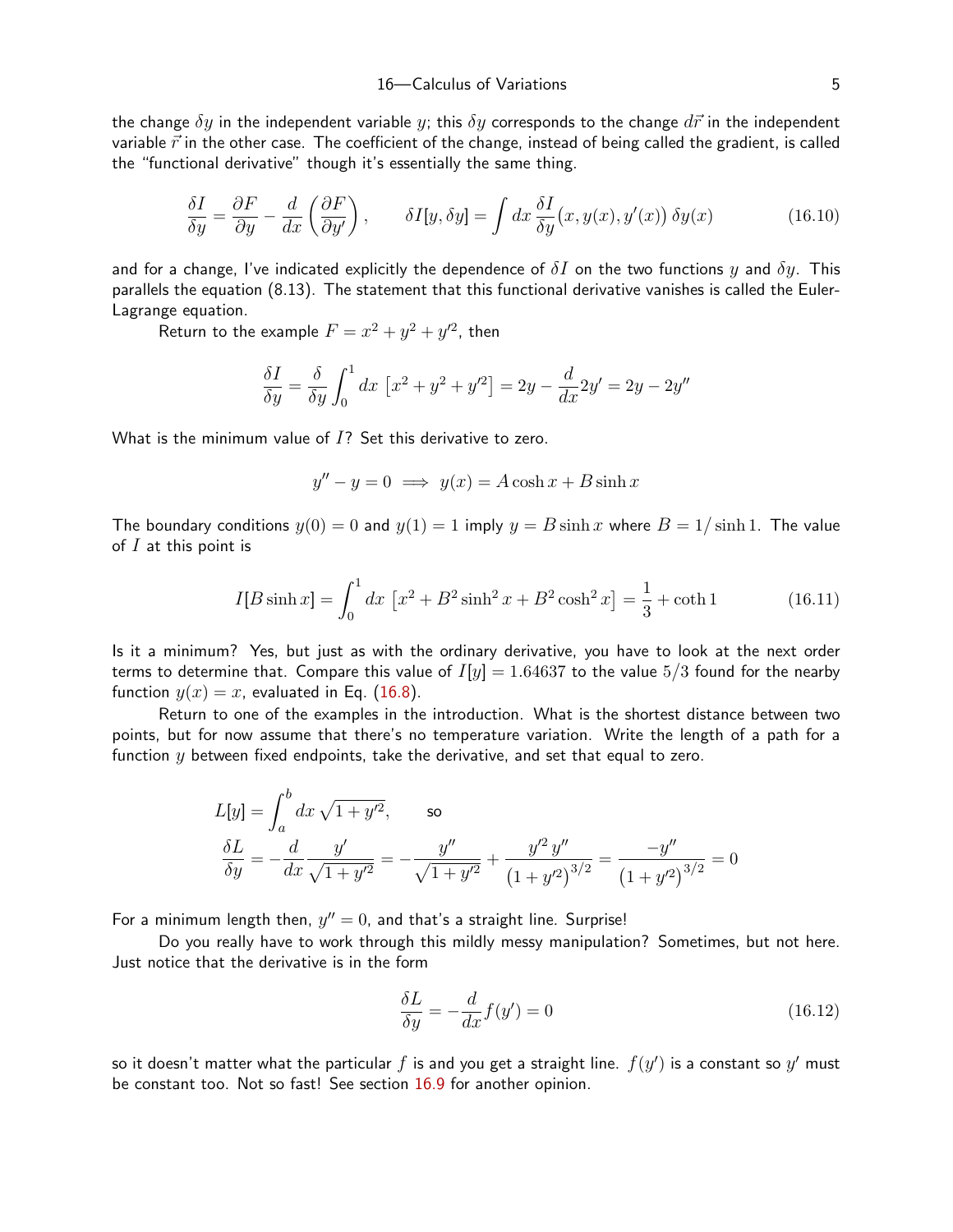the change  $\delta y$  in the independent variable y; this  $\delta y$  corresponds to the change  $d\vec{r}$  in the independent variable  $\vec{r}$  in the other case. The coefficient of the change, instead of being called the gradient, is called the "functional derivative" though it's essentially the same thing.

$$
\frac{\delta I}{\delta y} = \frac{\partial F}{\partial y} - \frac{d}{dx} \left( \frac{\partial F}{\partial y'} \right), \qquad \delta I[y, \delta y] = \int dx \frac{\delta I}{\delta y} (x, y(x), y'(x)) \delta y(x) \tag{16.10}
$$

and for a change, I've indicated explicitly the dependence of  $\delta I$  on the two functions  $y$  and  $\delta y$ . This parallels the equation (8.13). The statement that this functional derivative vanishes is called the Euler-Lagrange equation.

Return to the example  $F = x^2 + y^2 + y'^2$ , then

$$
\frac{\delta I}{\delta y} = \frac{\delta}{\delta y} \int_0^1 dx \, [x^2 + y^2 + y'^2] = 2y - \frac{d}{dx} 2y' = 2y - 2y''
$$

What is the minimum value of  $I$ ? Set this derivative to zero.

<span id="page-4-2"></span><span id="page-4-0"></span>
$$
y'' - y = 0 \implies y(x) = A \cosh x + B \sinh x
$$

The boundary conditions  $y(0) = 0$  and  $y(1) = 1$  imply  $y = B \sinh x$  where  $B = 1/\sinh 1$ . The value of  $I$  at this point is

$$
I[B\sinh x] = \int_0^1 dx \, [x^2 + B^2 \sinh^2 x + B^2 \cosh^2 x] = \frac{1}{3} + \coth 1
$$
 (16.11)

Is it a minimum? Yes, but just as with the ordinary derivative, you have to look at the next order terms to determine that. Compare this value of  $I[y] = 1.64637$  to the value  $5/3$  found for the nearby function  $y(x) = x$ , evaluated in Eq. [\(16.8](#page-3-1)).

Return to one of the examples in the introduction. What is the shortest distance between two points, but for now assume that there's no temperature variation. Write the length of a path for a function  $y$  between fixed endpoints, take the derivative, and set that equal to zero.

$$
L[y] = \int_{a}^{b} dx \sqrt{1 + y'^2},
$$
 so  

$$
\frac{\delta L}{\delta y} = -\frac{d}{dx} \frac{y'}{\sqrt{1 + y'^2}} = -\frac{y''}{\sqrt{1 + y'^2}} + \frac{y'^2 y''}{(1 + y'^2)^{3/2}} = \frac{-y''}{(1 + y'^2)^{3/2}} = 0
$$

For a minimum length then,  $y'' = 0$ , and that's a straight line. Surprise!

Do you really have to work through this mildly messy manipulation? Sometimes, but not here. Just notice that the derivative is in the form

<span id="page-4-1"></span>
$$
\frac{\delta L}{\delta y} = -\frac{d}{dx} f(y') = 0\tag{16.12}
$$

so it doesn't matter what the particular  $f$  is and you get a straight line.  $\,f(y')$  is a constant so  $y'$  must be constant too. Not so fast! See section [16.9](#page-16-0) for another opinion.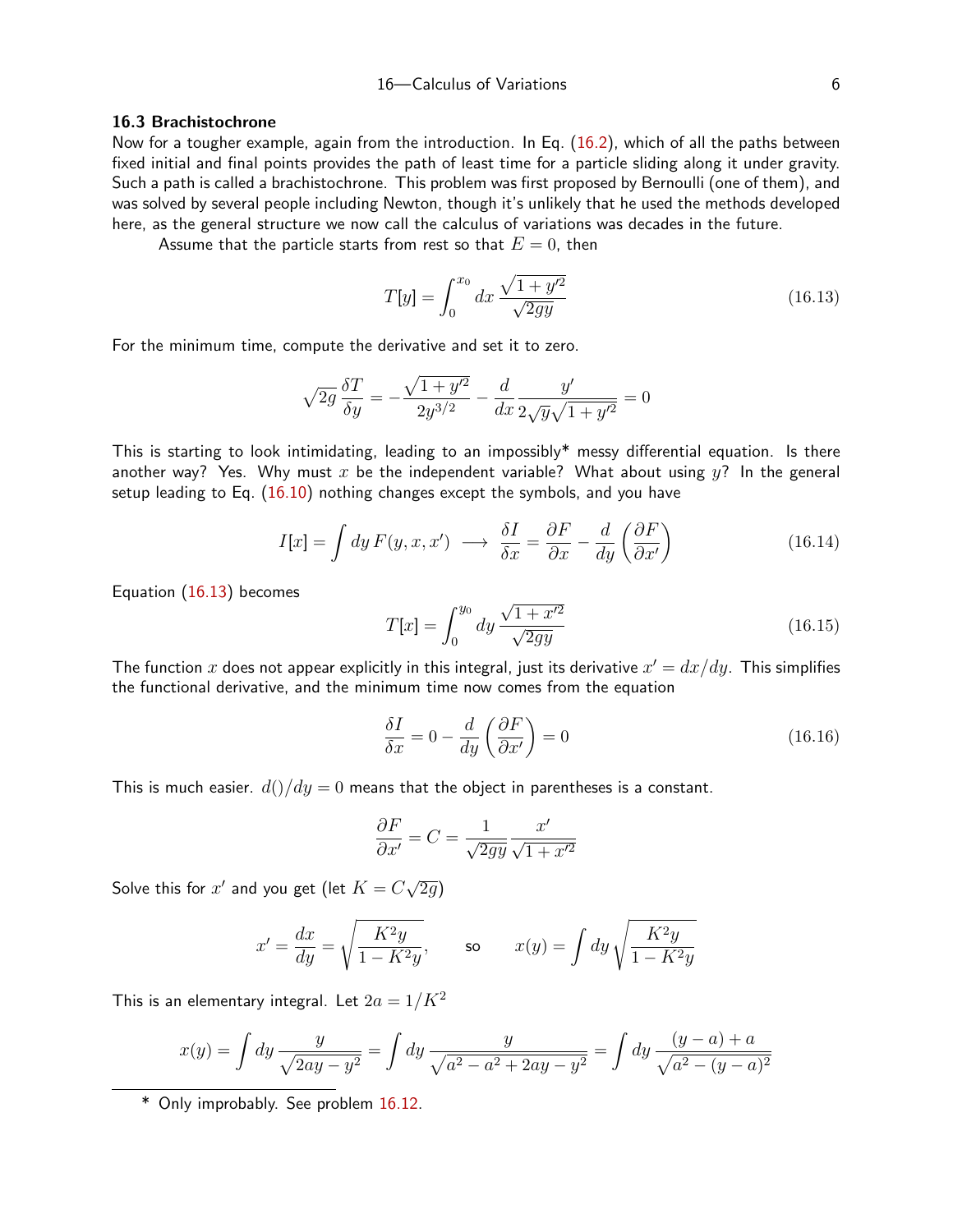## 16.3 Brachistochrone

Now for a tougher example, again from the introduction. In Eq. ([16.2](#page-0-1)), which of all the paths between fixed initial and final points provides the path of least time for a particle sliding along it under gravity. Such a path is called a brachistochrone. This problem was first proposed by Bernoulli (one of them), and was solved by several people including Newton, though it's unlikely that he used the methods developed here, as the general structure we now call the calculus of variations was decades in the future.

Assume that the particle starts from rest so that  $E = 0$ , then

<span id="page-5-0"></span>
$$
T[y] = \int_0^{x_0} dx \, \frac{\sqrt{1 + y'^2}}{\sqrt{2gy}} \tag{16.13}
$$

For the minimum time, compute the derivative and set it to zero.

$$
\sqrt{2g} \frac{\delta T}{\delta y} = -\frac{\sqrt{1+y'^2}}{2y^{3/2}} - \frac{d}{dx} \frac{y'}{2\sqrt{y}\sqrt{1+y'^2}} = 0
$$

This is starting to look intimidating, leading to an impossibly\* messy differential equation. Is there another way? Yes. Why must x be the independent variable? What about using  $y$ ? In the general setup leading to Eq. ([16.1](#page-4-0)0) nothing changes except the symbols, and you have

$$
I[x] = \int dy F(y, x, x') \longrightarrow \frac{\delta I}{\delta x} = \frac{\partial F}{\partial x} - \frac{d}{dy} \left( \frac{\partial F}{\partial x'} \right)
$$
(16.14)

Equation ([16.1](#page-5-0)3) becomes

<span id="page-5-1"></span>
$$
T[x] = \int_0^{y_0} dy \frac{\sqrt{1 + x'^2}}{\sqrt{2gy}}
$$
 (16.15)

The function  $x$  does not appear explicitly in this integral, just its derivative  $x^\prime = dx/dy$ . This simplifies the functional derivative, and the minimum time now comes from the equation

<span id="page-5-2"></span>
$$
\frac{\delta I}{\delta x} = 0 - \frac{d}{dy} \left( \frac{\partial F}{\partial x'} \right) = 0 \tag{16.16}
$$

This is much easier.  $d() / dy = 0$  means that the object in parentheses is a constant.

$$
\frac{\partial F}{\partial x'} = C = \frac{1}{\sqrt{2gy}} \frac{x'}{\sqrt{1 + x'^2}}
$$

Solve this for  $x'$  and you get (let  $K = C \sqrt{2g}$ )

$$
x' = \frac{dx}{dy} = \sqrt{\frac{K^2 y}{1 - K^2 y}}, \qquad \text{so} \qquad x(y) = \int dy \sqrt{\frac{K^2 y}{1 - K^2 y}}
$$

This is an elementary integral. Let  $2a = 1/K^2$ 

$$
x(y) = \int dy \frac{y}{\sqrt{2ay - y^2}} = \int dy \frac{y}{\sqrt{a^2 - a^2 + 2ay - y^2}} = \int dy \frac{(y - a) + a}{\sqrt{a^2 - (y - a)^2}}
$$

<sup>\*</sup> Only improbably. See problem [16.1](#page-23-0)2.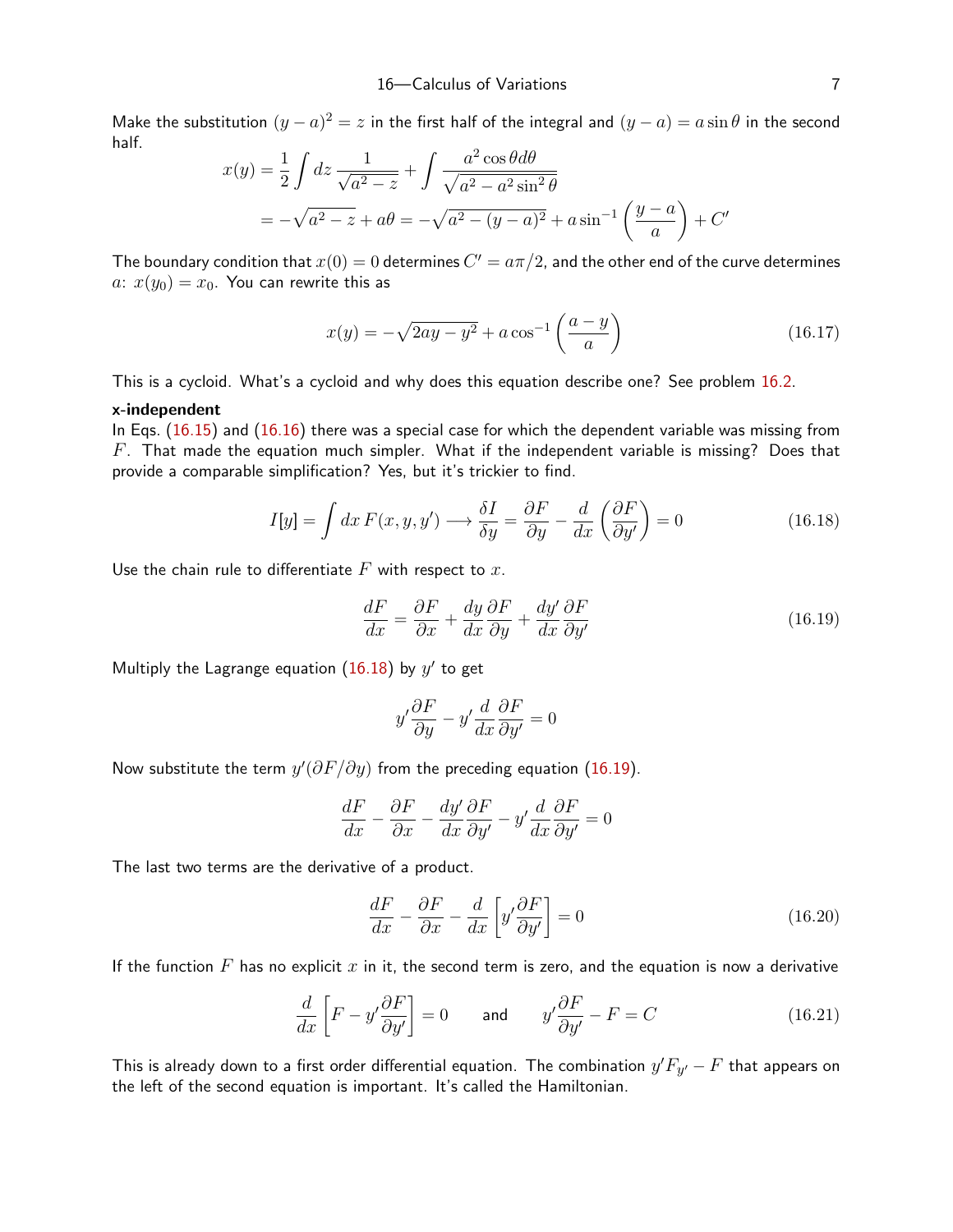Make the substitution  $(y - a)^2 = z$  in the first half of the integral and  $(y - a) = a \sin \theta$  in the second half.

$$
x(y) = \frac{1}{2} \int dz \frac{1}{\sqrt{a^2 - z}} + \int \frac{a^2 \cos \theta d\theta}{\sqrt{a^2 - a^2 \sin^2 \theta}}
$$
  
=  $-\sqrt{a^2 - z} + a\theta = -\sqrt{a^2 - (y - a)^2} + a \sin^{-1} \left(\frac{y - a}{a}\right) + C'$ 

The boundary condition that  $x(0) = 0$  determines  $C' = a\pi/2$ , and the other end of the curve determines a:  $x(y_0) = x_0$ . You can rewrite this as

<span id="page-6-2"></span>
$$
x(y) = -\sqrt{2ay - y^2} + a\cos^{-1}\left(\frac{a - y}{a}\right)
$$
 (16.17)

This is a cycloid. What's a cycloid and why does this equation describe one? See problem [16.2](#page-23-1).

#### x-independent

In Eqs. ([16.1](#page-5-1)5) and [\(16.1](#page-5-2)6) there was a special case for which the dependent variable was missing from  $F$ . That made the equation much simpler. What if the independent variable is missing? Does that provide a comparable simplification? Yes, but it's trickier to find.

$$
I[y] = \int dx F(x, y, y') \longrightarrow \frac{\delta I}{\delta y} = \frac{\partial F}{\partial y} - \frac{d}{dx} \left(\frac{\partial F}{\partial y'}\right) = 0
$$
\n(16.18)

Use the chain rule to differentiate  $F$  with respect to  $x$ .

<span id="page-6-0"></span>
$$
\frac{dF}{dx} = \frac{\partial F}{\partial x} + \frac{dy}{dx}\frac{\partial F}{\partial y} + \frac{dy'}{dx}\frac{\partial F}{\partial y'}
$$
\n(16.19)

Multiply the Lagrange equation ([16.1](#page-6-0)8) by  $y'$  to get

<span id="page-6-1"></span>
$$
y'\frac{\partial F}{\partial y} - y'\frac{d}{dx}\frac{\partial F}{\partial y'} = 0
$$

Now substitute the term  $y'(\partial F/\partial y)$  from the preceding equation ([16.1](#page-6-1)9).

$$
\frac{dF}{dx} - \frac{\partial F}{\partial x} - \frac{dy'}{dx} \frac{\partial F}{\partial y'} - y' \frac{d}{dx} \frac{\partial F}{\partial y'} = 0
$$

The last two terms are the derivative of a product.

<span id="page-6-3"></span>
$$
\frac{dF}{dx} - \frac{\partial F}{\partial x} - \frac{d}{dx} \left[ y' \frac{\partial F}{\partial y'} \right] = 0 \tag{16.20}
$$

If the function  $F$  has no explicit  $x$  in it, the second term is zero, and the equation is now a derivative

$$
\frac{d}{dx}\left[F - y'\frac{\partial F}{\partial y'}\right] = 0 \quad \text{and} \quad y'\frac{\partial F}{\partial y'} - F = C \quad (16.21)
$$

This is already down to a first order differential equation. The combination  $y'F_{y'}-F$  that appears on the left of the second equation is important. It's called the Hamiltonian.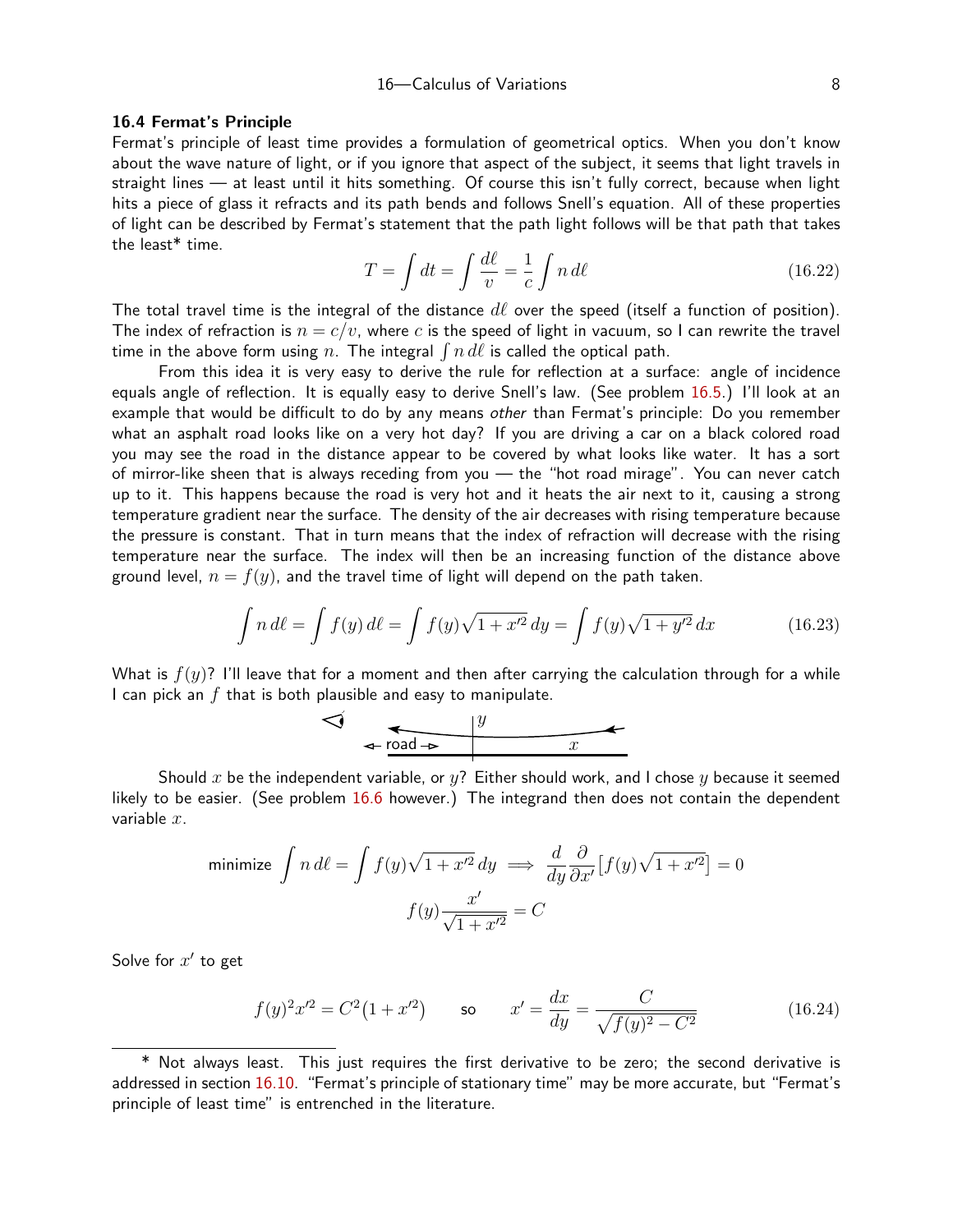## 16—Calculus of Variations 8

#### 16.4 Fermat's Principle

Fermat's principle of least time provides a formulation of geometrical optics. When you don't know about the wave nature of light, or if you ignore that aspect of the subject, it seems that light travels in straight lines — at least until it hits something. Of course this isn't fully correct, because when light hits a piece of glass it refracts and its path bends and follows Snell's equation. All of these properties of light can be described by Fermat's statement that the path light follows will be that path that takes the least\* time.

$$
T = \int dt = \int \frac{d\ell}{v} = \frac{1}{c} \int n \, d\ell \tag{16.22}
$$

The total travel time is the integral of the distance  $d\ell$  over the speed (itself a function of position). The index of refraction is  $n = c/v$ , where c is the speed of light in vacuum, so I can rewrite the travel time in the above form using  $n.$  The integral  $\int n\, d\ell$  is called the optical path.

From this idea it is very easy to derive the rule for reflection at a surface: angle of incidence equals angle of reflection. It is equally easy to derive Snell's law. (See problem [16.5](#page-23-2).) I'll look at an example that would be difficult to do by any means other than Fermat's principle: Do you remember what an asphalt road looks like on a very hot day? If you are driving a car on a black colored road you may see the road in the distance appear to be covered by what looks like water. It has a sort of mirror-like sheen that is always receding from you — the "hot road mirage". You can never catch up to it. This happens because the road is very hot and it heats the air next to it, causing a strong temperature gradient near the surface. The density of the air decreases with rising temperature because the pressure is constant. That in turn means that the index of refraction will decrease with the rising temperature near the surface. The index will then be an increasing function of the distance above ground level,  $n = f(y)$ , and the travel time of light will depend on the path taken.

$$
\int n \, d\ell = \int f(y) \, d\ell = \int f(y) \sqrt{1 + x'^2} \, dy = \int f(y) \sqrt{1 + y'^2} \, dx \tag{16.23}
$$

What is  $f(y)$ ? I'll leave that for a moment and then after carrying the calculation through for a while I can pick an  $f$  that is both plausible and easy to manipulate.

<span id="page-7-0"></span>
$$
\begin{array}{c}\n\bigcirc \\
\leftarrow \text{road} \rightarrow \\
x\n\end{array}
$$

Should x be the independent variable, or  $y$ ? Either should work, and I chose y because it seemed likely to be easier. (See problem [16.6](#page-23-3) however.) The integrand then does not contain the dependent variable  $x$ .

$$
\text{minimize } \int n \, d\ell = \int f(y) \sqrt{1 + x'^2} \, dy \implies \frac{d}{dy} \frac{\partial}{\partial x'} \left[ f(y) \sqrt{1 + x'^2} \right] = 0
$$
\n
$$
f(y) \frac{x'}{\sqrt{1 + x'^2}} = C
$$

Solve for  $x'$  to get

$$
f(y)^2 x'^2 = C^2 (1 + x'^2)
$$
 so  $x' = \frac{dx}{dy} = \frac{C}{\sqrt{f(y)^2 - C^2}}$  (16.24)

<sup>\*</sup> Not always least. This just requires the first derivative to be zero; the second derivative is addressed in section [16.1](#page-19-0)0. "Fermat's principle of stationary time" may be more accurate, but "Fermat's principle of least time" is entrenched in the literature.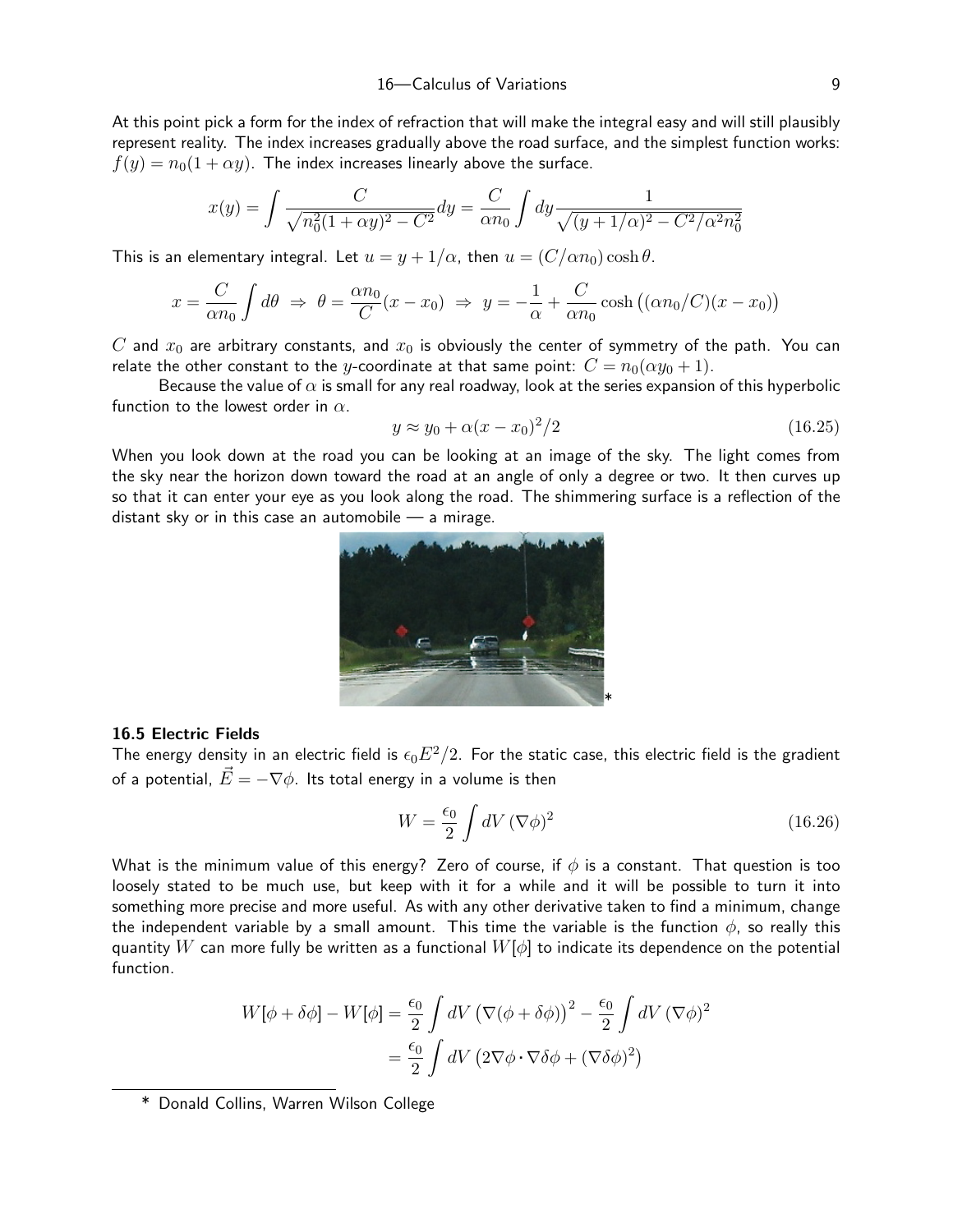At this point pick a form for the index of refraction that will make the integral easy and will still plausibly represent reality. The index increases gradually above the road surface, and the simplest function works:  $f(y) = n_0(1 + \alpha y)$ . The index increases linearly above the surface.

$$
x(y) = \int \frac{C}{\sqrt{n_0^2 (1 + \alpha y)^2 - C^2}} dy = \frac{C}{\alpha n_0} \int dy \frac{1}{\sqrt{(y + 1/\alpha)^2 - C^2/\alpha^2 n_0^2}}
$$

This is an elementary integral. Let  $u = y + 1/\alpha$ , then  $u = (C/\alpha n_0) \cosh \theta$ .

$$
x = \frac{C}{\alpha n_0} \int d\theta \implies \theta = \frac{\alpha n_0}{C} (x - x_0) \implies y = -\frac{1}{\alpha} + \frac{C}{\alpha n_0} \cosh ((\alpha n_0/C)(x - x_0))
$$

 $C$  and  $x_0$  are arbitrary constants, and  $x_0$  is obviously the center of symmetry of the path. You can relate the other constant to the y-coordinate at that same point:  $C = n_0(\alpha y_0 + 1)$ .

Because the value of  $\alpha$  is small for any real roadway, look at the series expansion of this hyperbolic function to the lowest order in  $\alpha$ .

<span id="page-8-1"></span>
$$
y \approx y_0 + \alpha (x - x_0)^2 / 2 \tag{16.25}
$$

When you look down at the road you can be looking at an image of the sky. The light comes from the sky near the horizon down toward the road at an angle of only a degree or two. It then curves up so that it can enter your eye as you look along the road. The shimmering surface is a reflection of the distant sky or in this case an automobile — a mirage.



#### 16.5 Electric Fields

<span id="page-8-2"></span>The energy density in an electric field is  $\epsilon_0 E^2/2$ . For the static case, this electric field is the gradient of a potential,  $\vec{E} = -\nabla \phi$ . Its total energy in a volume is then

<span id="page-8-0"></span>
$$
W = \frac{\epsilon_0}{2} \int dV \, (\nabla \phi)^2 \tag{16.26}
$$

What is the minimum value of this energy? Zero of course, if  $\phi$  is a constant. That question is too loosely stated to be much use, but keep with it for a while and it will be possible to turn it into something more precise and more useful. As with any other derivative taken to find a minimum, change the independent variable by a small amount. This time the variable is the function  $\phi$ , so really this quantity  $W$  can more fully be written as a functional  $W[\phi]$  to indicate its dependence on the potential function.

$$
W[\phi + \delta\phi] - W[\phi] = \frac{\epsilon_0}{2} \int dV \left(\nabla(\phi + \delta\phi)\right)^2 - \frac{\epsilon_0}{2} \int dV \left(\nabla\phi\right)^2
$$

$$
= \frac{\epsilon_0}{2} \int dV \left(2\nabla\phi \cdot \nabla\delta\phi + (\nabla\delta\phi)^2\right)
$$

<sup>\*</sup> Donald Collins, Warren Wilson College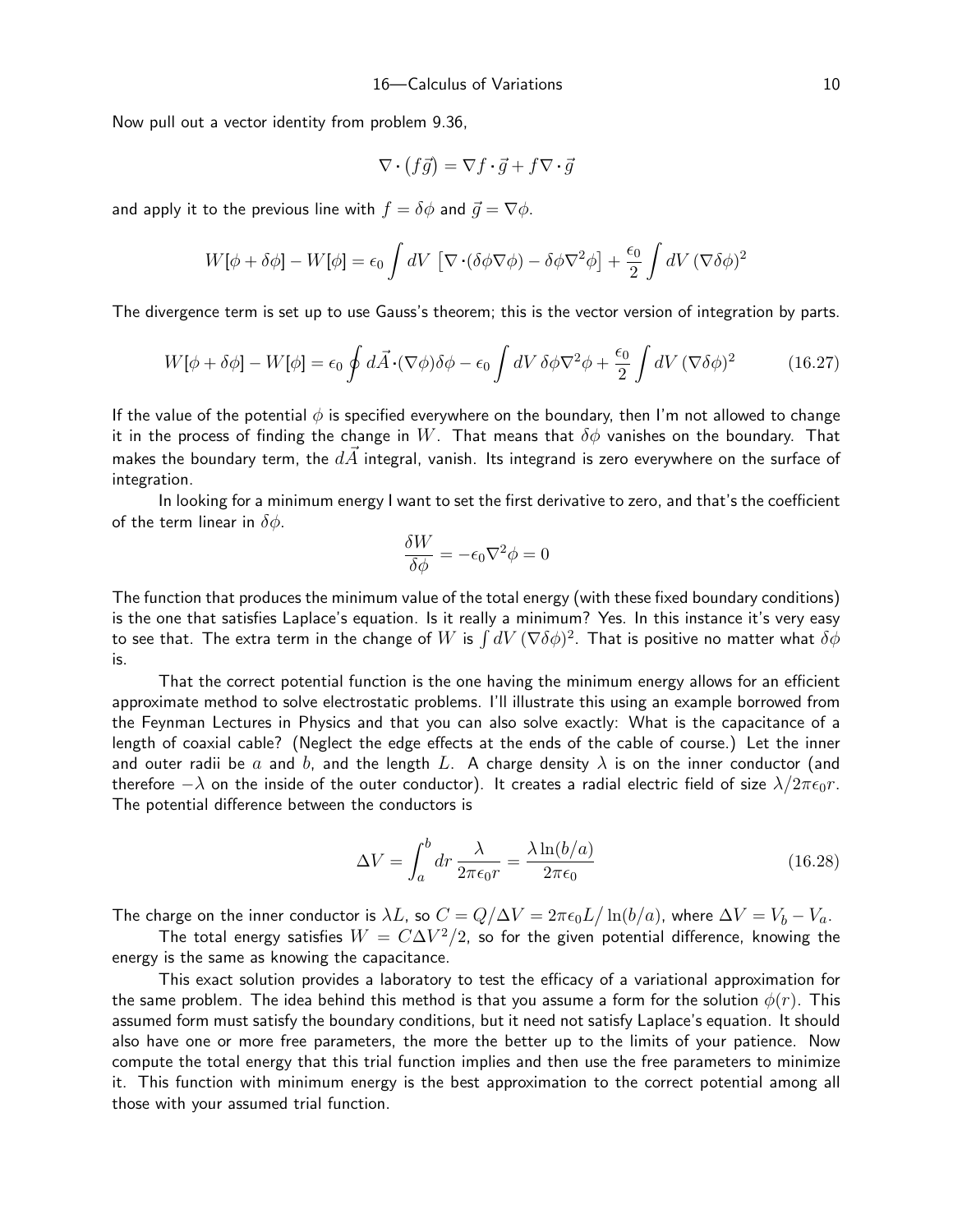Now pull out a vector identity from problem 9.36,

$$
\nabla \cdot (f\vec{g}) = \nabla f \cdot \vec{g} + f \nabla \cdot \vec{g}
$$

and apply it to the previous line with  $f = \delta \phi$  and  $\vec{q} = \nabla \phi$ .

$$
W[\phi + \delta\phi] - W[\phi] = \epsilon_0 \int dV \left[ \nabla \cdot (\delta\phi \nabla \phi) - \delta\phi \nabla^2 \phi \right] + \frac{\epsilon_0}{2} \int dV \, (\nabla \delta\phi)^2
$$

The divergence term is set up to use Gauss's theorem; this is the vector version of integration by parts.

$$
W[\phi + \delta\phi] - W[\phi] = \epsilon_0 \oint d\vec{A} \cdot (\nabla\phi)\delta\phi - \epsilon_0 \int dV \,\delta\phi \nabla^2\phi + \frac{\epsilon_0}{2} \int dV (\nabla\delta\phi)^2 \tag{16.27}
$$

If the value of the potential  $\phi$  is specified everywhere on the boundary, then I'm not allowed to change it in the process of finding the change in  $W$ . That means that  $\delta\phi$  vanishes on the boundary. That makes the boundary term, the  $d\vec{A}$  integral, vanish. Its integrand is zero everywhere on the surface of integration.

In looking for a minimum energy I want to set the first derivative to zero, and that's the coefficient of the term linear in  $\delta\phi$ .

$$
\frac{\delta W}{\delta \phi} = -\epsilon_0 \nabla^2 \phi = 0
$$

The function that produces the minimum value of the total energy (with these fixed boundary conditions) is the one that satisfies Laplace's equation. Is it really a minimum? Yes. In this instance it's very easy to see that. The extra term in the change of  $W$  is  $\int dV \, (\nabla \delta \phi)^2.$  That is positive no matter what  $\delta \phi$ is.

That the correct potential function is the one having the minimum energy allows for an efficient approximate method to solve electrostatic problems. I'll illustrate this using an example borrowed from the Feynman Lectures in Physics and that you can also solve exactly: What is the capacitance of a length of coaxial cable? (Neglect the edge effects at the ends of the cable of course.) Let the inner and outer radii be a and b, and the length L. A charge density  $\lambda$  is on the inner conductor (and therefore  $-\lambda$  on the inside of the outer conductor). It creates a radial electric field of size  $\lambda/2\pi\epsilon_0r$ . The potential difference between the conductors is

$$
\Delta V = \int_{a}^{b} dr \, \frac{\lambda}{2\pi\epsilon_0 r} = \frac{\lambda \ln(b/a)}{2\pi\epsilon_0} \tag{16.28}
$$

The charge on the inner conductor is  $\lambda L$ , so  $C=Q/\Delta V=2\pi\epsilon_0 L/\ln(b/a)$ , where  $\Delta V=V_b-V_a$ .

The total energy satisfies  $W\,=\,C\Delta V^2/2$ , so for the given potential difference, knowing the energy is the same as knowing the capacitance.

This exact solution provides a laboratory to test the efficacy of a variational approximation for the same problem. The idea behind this method is that you assume a form for the solution  $\phi(r)$ . This assumed form must satisfy the boundary conditions, but it need not satisfy Laplace's equation. It should also have one or more free parameters, the more the better up to the limits of your patience. Now compute the total energy that this trial function implies and then use the free parameters to minimize it. This function with minimum energy is the best approximation to the correct potential among all those with your assumed trial function.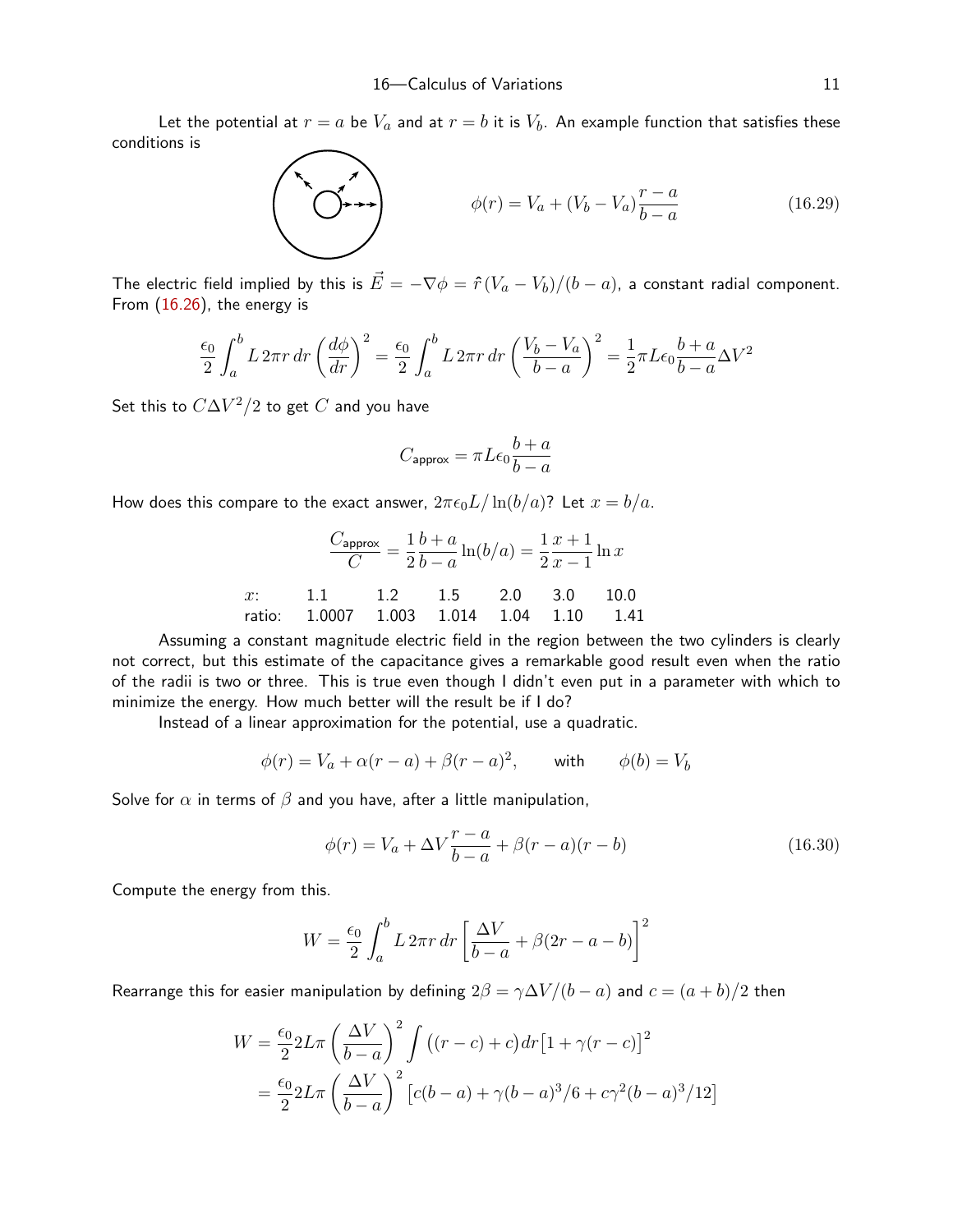Let the potential at  $r=a$  be  $V_a$  and at  $r=b$  it is  $V_b.$  An example function that satisfies these conditions is

$$
\phi(r) = V_a + (V_b - V_a) \frac{r - a}{b - a}
$$
 (16.29)

The electric field implied by this is  $\vec{E}=-\nabla\phi=\hat{r}(V_a-V_b)/(b-a)$ , a constant radial component. From ([16.2](#page-8-0)6), the energy is

$$
\frac{\epsilon_0}{2} \int_a^b L 2\pi r \, dr \left(\frac{d\phi}{dr}\right)^2 = \frac{\epsilon_0}{2} \int_a^b L 2\pi r \, dr \left(\frac{V_b - V_a}{b - a}\right)^2 = \frac{1}{2} \pi L \epsilon_0 \frac{b + a}{b - a} \Delta V^2
$$

Set this to  $C\Delta V^2/2$  to get  $C$  and you have

<span id="page-10-1"></span>
$$
C_{\rm approx} = \pi L \epsilon_0 \frac{b+a}{b-a}
$$

How does this compare to the exact answer,  $2\pi\epsilon_0 L/\ln(b/a)$ ? Let  $x = b/a$ .

$$
\frac{C_{\text{approx}}}{C} = \frac{1}{2} \frac{b+a}{b-a} \ln(b/a) = \frac{1}{2} \frac{x+1}{x-1} \ln x
$$
  
*x*: 1.1 1.2 1.5 2.0 3.0 10.0  
ratio: 1.0007 1.003 1.014 1.04 1.10 1.41

Assuming a constant magnitude electric field in the region between the two cylinders is clearly not correct, but this estimate of the capacitance gives a remarkable good result even when the ratio of the radii is two or three. This is true even though I didn't even put in a parameter with which to minimize the energy. How much better will the result be if I do?

Instead of a linear approximation for the potential, use a quadratic.

$$
\phi(r) = V_a + \alpha(r - a) + \beta(r - a)^2, \quad \text{with} \quad \phi(b) = V_b
$$

Solve for  $\alpha$  in terms of  $\beta$  and you have, after a little manipulation,

<span id="page-10-0"></span>
$$
\phi(r) = V_a + \Delta V \frac{r - a}{b - a} + \beta(r - a)(r - b)
$$
\n(16.30)

Compute the energy from this.

$$
W = \frac{\epsilon_0}{2} \int_a^b L \, 2\pi r \, dr \left[ \frac{\Delta V}{b-a} + \beta (2r - a - b) \right]^2
$$

Rearrange this for easier manipulation by defining  $2\beta = \gamma \Delta V/(b - a)$  and  $c = (a + b)/2$  then

$$
W = \frac{\epsilon_0}{2} 2L\pi \left(\frac{\Delta V}{b-a}\right)^2 \int \left((r-c) + c\right) dr \left[1 + \gamma(r-c)\right]^2
$$
  
=  $\frac{\epsilon_0}{2} 2L\pi \left(\frac{\Delta V}{b-a}\right)^2 \left[c(b-a) + \gamma(b-a)^3/6 + c\gamma^2(b-a)^3/12\right]$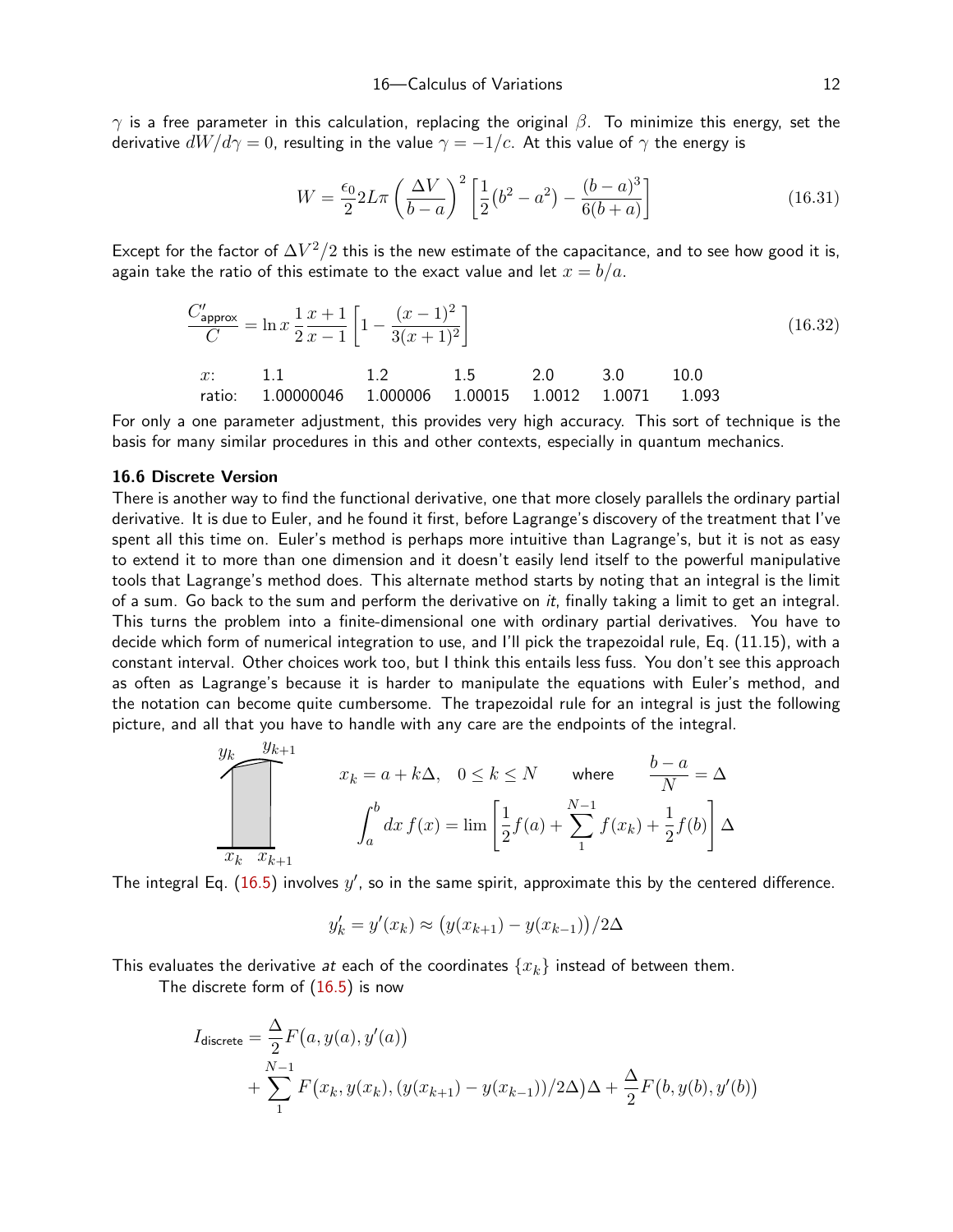$\gamma$  is a free parameter in this calculation, replacing the original  $\beta$ . To minimize this energy, set the derivative  $dW/d\gamma = 0$ , resulting in the value  $\gamma = -1/c$ . At this value of  $\gamma$  the energy is

<span id="page-11-1"></span>
$$
W = \frac{\epsilon_0}{2} 2L\pi \left(\frac{\Delta V}{b-a}\right)^2 \left[\frac{1}{2}(b^2 - a^2) - \frac{(b-a)^3}{6(b+a)}\right]
$$
(16.31)

Except for the factor of  $\Delta V^2/2$  this is the new estimate of the capacitance, and to see how good it is, again take the ratio of this estimate to the exact value and let  $x = b/a$ .

$$
\frac{C'_{\text{approx}}}{C} = \ln x \frac{1}{2} \frac{x+1}{x-1} \left[ 1 - \frac{(x-1)^2}{3(x+1)^2} \right]
$$
\n
$$
x: \qquad 1.1 \qquad \qquad 1.2 \qquad \qquad 1.5 \qquad \qquad 2.0 \qquad \qquad 3.0 \qquad \qquad 10.0
$$
\n
$$
ratio: \qquad 1.00000046 \qquad \qquad 1.000006 \qquad \qquad 1.00015 \qquad \qquad 1.0012 \qquad \qquad 1.0071 \qquad \qquad 1.093
$$
\n
$$
(16.32)
$$

For only a one parameter adjustment, this provides very high accuracy. This sort of technique is the basis for many similar procedures in this and other contexts, especially in quantum mechanics.

## 16.6 Discrete Version

<span id="page-11-0"></span>There is another way to find the functional derivative, one that more closely parallels the ordinary partial derivative. It is due to Euler, and he found it first, before Lagrange's discovery of the treatment that I've spent all this time on. Euler's method is perhaps more intuitive than Lagrange's, but it is not as easy to extend it to more than one dimension and it doesn't easily lend itself to the powerful manipulative tools that Lagrange's method does. This alternate method starts by noting that an integral is the limit of a sum. Go back to the sum and perform the derivative on  $it$ , finally taking a limit to get an integral. This turns the problem into a finite-dimensional one with ordinary partial derivatives. You have to decide which form of numerical integration to use, and I'll pick the trapezoidal rule, Eq. (11.15), with a constant interval. Other choices work too, but I think this entails less fuss. You don't see this approach as often as Lagrange's because it is harder to manipulate the equations with Euler's method, and the notation can become quite cumbersome. The trapezoidal rule for an integral is just the following picture, and all that you have to handle with any care are the endpoints of the integral.

$$
y_k \t y_{k+1}
$$
  

$$
x_k = a + k\Delta, \quad 0 \le k \le N \quad \text{where} \quad \frac{b-a}{N} = \Delta
$$
  

$$
\int_a^b dx f(x) = \lim \left[ \frac{1}{2} f(a) + \sum_{n=1}^{N-1} f(x_k) + \frac{1}{2} f(b) \right] \Delta
$$

The integral Eq. ([16.5](#page-2-2)) involves  $y'$ , so in the same spirit, approximate this by the centered difference.

$$
y'_{k} = y'(x_{k}) \approx (y(x_{k+1}) - y(x_{k-1}))/2\Delta
$$

This evaluates the derivative at each of the coordinates  $\{x_k\}$  instead of between them.

The discrete form of  $(16.5)$  $(16.5)$  is now

$$
I_{\text{discrete}} = \frac{\Delta}{2} F(a, y(a), y'(a))
$$
  
+ 
$$
\sum_{1}^{N-1} F(x_k, y(x_k), (y(x_{k+1}) - y(x_{k-1}))/2\Delta) \Delta + \frac{\Delta}{2} F(b, y(b), y'(b))
$$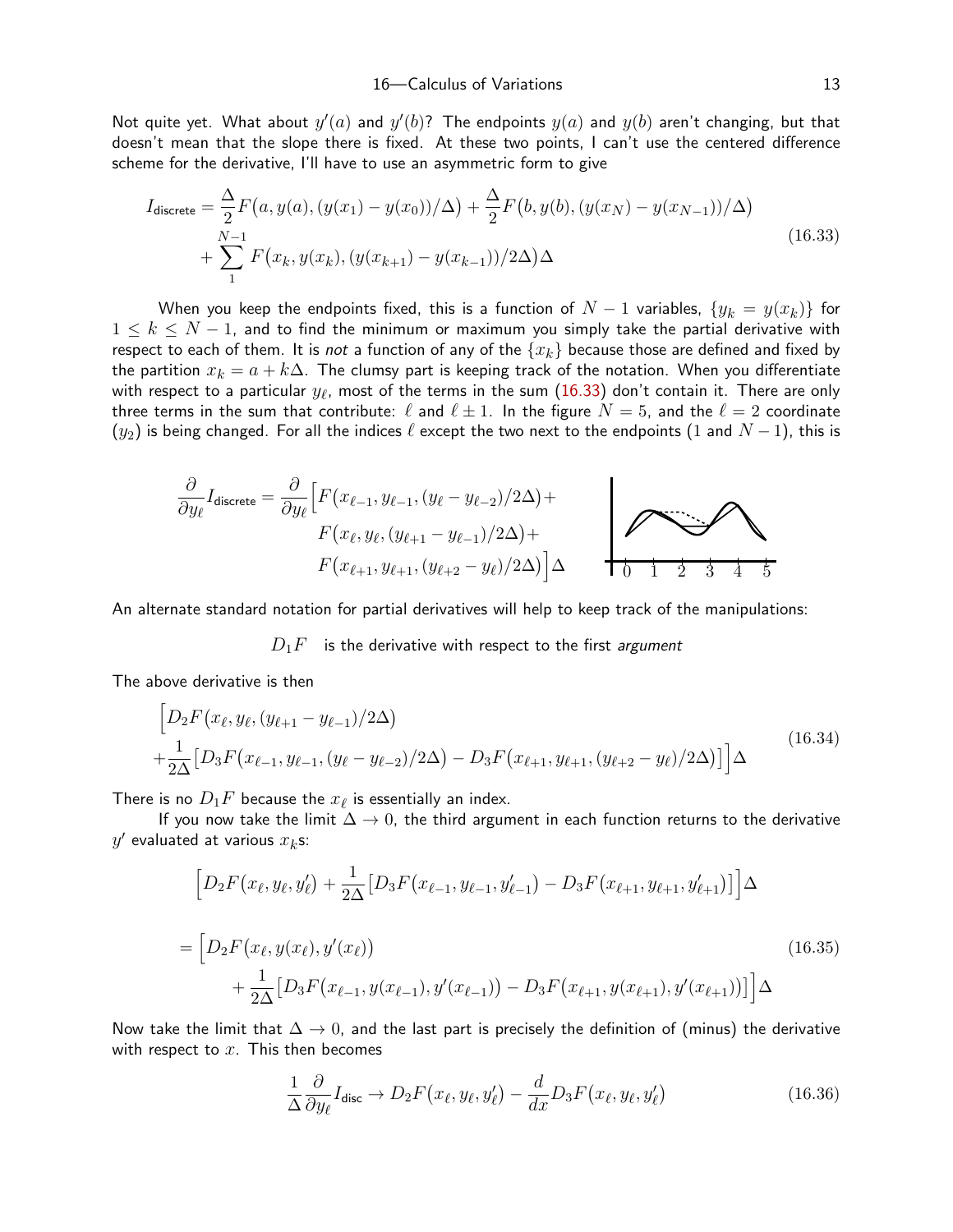Not quite yet. What about  $y'(a)$  and  $y'(b)$ ? The endpoints  $y(a)$  and  $y(b)$  aren't changing, but that doesn't mean that the slope there is fixed. At these two points, I can't use the centered difference scheme for the derivative, I'll have to use an asymmetric form to give

<span id="page-12-0"></span>
$$
I_{\text{discrete}} = \frac{\Delta}{2} F(a, y(a), (y(x_1) - y(x_0)) / \Delta) + \frac{\Delta}{2} F(b, y(b), (y(x_N) - y(x_{N-1})) / \Delta) + \sum_{1}^{N-1} F(x_k, y(x_k), (y(x_{k+1}) - y(x_{k-1}))/2\Delta) \Delta
$$
\n(16.33)

When you keep the endpoints fixed, this is a function of  $N-1$  variables,  $\{y_k\,=\,y(x_k)\}$  for  $1 \leq k \leq N-1$ , and to find the minimum or maximum you simply take the partial derivative with respect to each of them. It is not a function of any of the  $\{x_k\}$  because those are defined and fixed by the partition  $x_k = a + k\Delta$ . The clumsy part is keeping track of the notation. When you differentiate with respect to a particular  $y_\ell$ , most of the terms in the sum  $(16.33)$  $(16.33)$  $(16.33)$  don't contain it. There are only three terms in the sum that contribute:  $\ell$  and  $\ell \pm 1$ . In the figure  $N = 5$ , and the  $\ell = 2$  coordinate  $(y_2)$  is being changed. For all the indices  $\ell$  except the two next to the endpoints (1 and  $N - 1$ ), this is

$$
\frac{\partial}{\partial y_{\ell}} I_{\text{discrete}} = \frac{\partial}{\partial y_{\ell}} \Big[ F(x_{\ell-1}, y_{\ell-1}, (y_{\ell} - y_{\ell-2})/2\Delta) + F(x_{\ell}, y_{\ell}, (y_{\ell+1} - y_{\ell-1})/2\Delta) + F(x_{\ell+1}, y_{\ell+1}, (y_{\ell+2} - y_{\ell})/2\Delta) \Big] \Delta
$$

An alternate standard notation for partial derivatives will help to keep track of the manipulations:

# <span id="page-12-1"></span> $D_1F$  is the derivative with respect to the first argument

The above derivative is then

$$
\[D_2 F(x_\ell, y_\ell, (y_{\ell+1} - y_{\ell-1})/2\Delta) + \frac{1}{2\Delta} [D_3 F(x_{\ell-1}, y_{\ell-1}, (y_\ell - y_{\ell-2})/2\Delta) - D_3 F(x_{\ell+1}, y_{\ell+1}, (y_{\ell+2} - y_\ell)/2\Delta)]\]\Delta \tag{16.34}
$$

There is no  $D_1F$  because the  $x_\ell$  is essentially an index.

If you now take the limit  $\Delta \to 0$ , the third argument in each function returns to the derivative  $y'$  evaluated at various  $x_k$ s:

$$
\[D_2 F(x_\ell, y_\ell, y_\ell') + \frac{1}{2\Delta} [D_3 F(x_{\ell-1}, y_{\ell-1}, y_{\ell-1}') - D_3 F(x_{\ell+1}, y_{\ell+1}, y_{\ell+1}')]\] \Delta
$$
\n
$$
= \Big[D_2 F(x_\ell, y(x_\ell), y'(x_\ell)) + \frac{1}{2\Delta} [D_3 F(x_{\ell-1}, y(x_{\ell-1}), y'(x_{\ell-1})) - D_3 F(x_{\ell+1}, y(x_{\ell+1}), y'(x_{\ell+1}))]\Big] \Delta
$$
\n(16.35)

Now take the limit that  $\Delta \to 0$ , and the last part is precisely the definition of (minus) the derivative with respect to  $x$ . This then becomes

<span id="page-12-3"></span><span id="page-12-2"></span>
$$
\frac{1}{\Delta} \frac{\partial}{\partial y_{\ell}} I_{\text{disc}} \to D_2 F(x_{\ell}, y_{\ell}, y_{\ell}') - \frac{d}{dx} D_3 F(x_{\ell}, y_{\ell}, y_{\ell}')
$$
(16.36)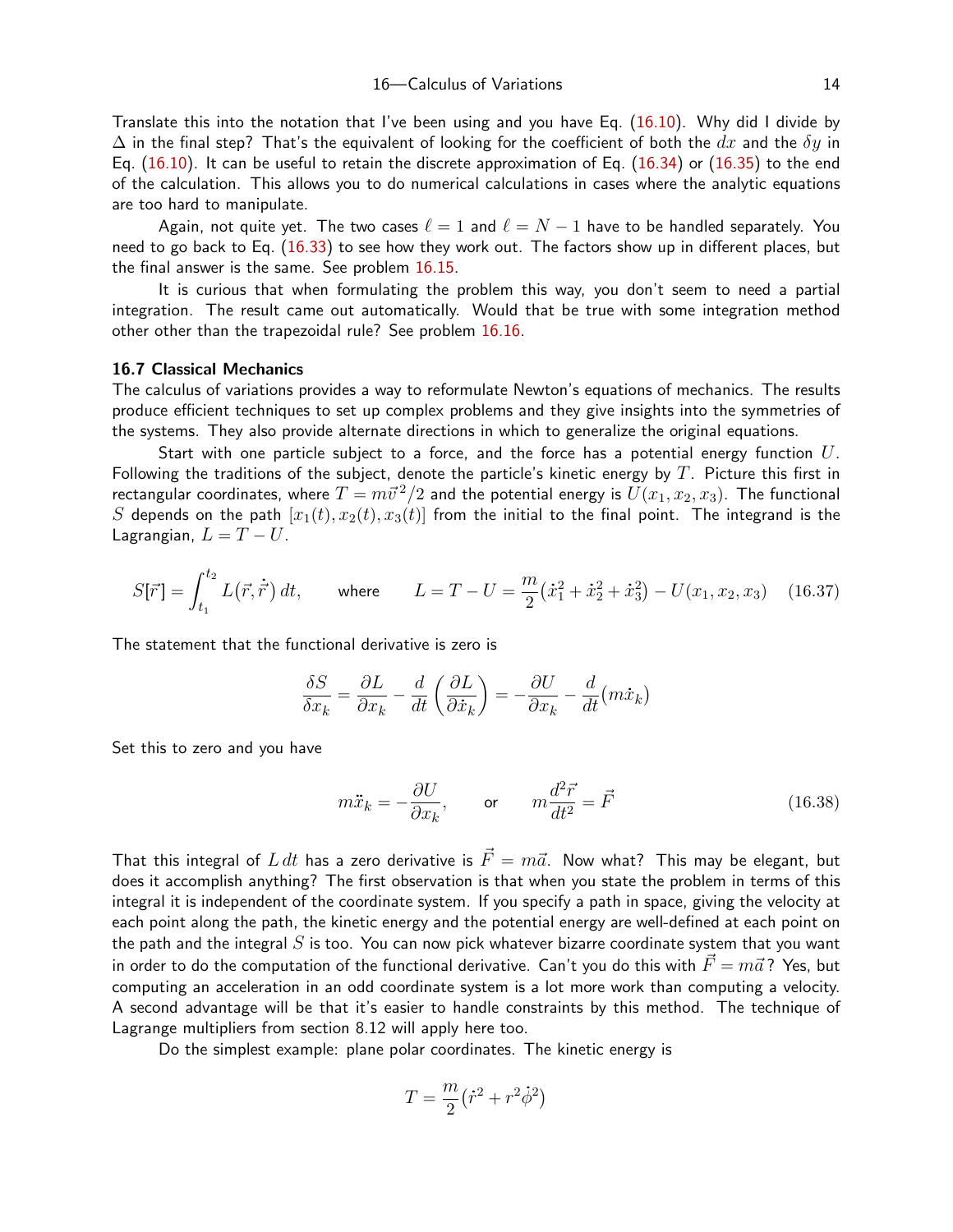Translate this into the notation that I've been using and you have Eq. ([16.1](#page-4-0)0). Why did I divide by  $\Delta$  in the final step? That's the equivalent of looking for the coefficient of both the  $dx$  and the  $\delta y$  in Eq. [\(16.1](#page-4-0)0). It can be useful to retain the discrete approximation of Eq. ([16.3](#page-12-1)4) or ([16.3](#page-12-2)5) to the end of the calculation. This allows you to do numerical calculations in cases where the analytic equations are too hard to manipulate.

Again, not quite yet. The two cases  $\ell = 1$  and  $\ell = N - 1$  have to be handled separately. You need to go back to Eq. ([16.3](#page-12-0)3) to see how they work out. The factors show up in different places, but the final answer is the same. See problem [16.1](#page-24-0)5.

It is curious that when formulating the problem this way, you don't seem to need a partial integration. The result came out automatically. Would that be true with some integration method other other than the trapezoidal rule? See problem [16.1](#page-24-1)6.

#### 16.7 Classical Mechanics

The calculus of variations provides a way to reformulate Newton's equations of mechanics. The results produce efficient techniques to set up complex problems and they give insights into the symmetries of the systems. They also provide alternate directions in which to generalize the original equations.

Start with one particle subject to a force, and the force has a potential energy function  $U$ . Following the traditions of the subject, denote the particle's kinetic energy by  $T$ . Picture this first in rectangular coordinates, where  $T = m\vec{v}^2/2$  and the potential energy is  $U(x_1, x_2, x_3)$ . The functional S depends on the path  $[x_1(t), x_2(t), x_3(t)]$  from the initial to the final point. The integrand is the Lagrangian,  $L = T - U$ .

$$
S[\vec{r}] = \int_{t_1}^{t_2} L(\vec{r}, \dot{\vec{r}}) dt, \quad \text{where} \quad L = T - U = \frac{m}{2} (\dot{x}_1^2 + \dot{x}_2^2 + \dot{x}_3^2) - U(x_1, x_2, x_3) \quad (16.37)
$$

The statement that the functional derivative is zero is

$$
\frac{\delta S}{\delta x_k} = \frac{\partial L}{\partial x_k} - \frac{d}{dt} \left( \frac{\partial L}{\partial \dot{x}_k} \right) = -\frac{\partial U}{\partial x_k} - \frac{d}{dt} (m \dot{x}_k)
$$

Set this to zero and you have

<span id="page-13-0"></span>
$$
m\ddot{x}_k = -\frac{\partial U}{\partial x_k}, \qquad \text{or} \qquad m\frac{d^2\vec{r}}{dt^2} = \vec{F} \tag{16.38}
$$

That this integral of  $L dt$  has a zero derivative is  $\vec{F} = m\vec{a}$ . Now what? This may be elegant, but does it accomplish anything? The first observation is that when you state the problem in terms of this integral it is independent of the coordinate system. If you specify a path in space, giving the velocity at each point along the path, the kinetic energy and the potential energy are well-defined at each point on the path and the integral  $S$  is too. You can now pick whatever bizarre coordinate system that you want in order to do the computation of the functional derivative. Can't you do this with  $\vec{F}= m \vec{a}$ ? Yes, but computing an acceleration in an odd coordinate system is a lot more work than computing a velocity. A second advantage will be that it's easier to handle constraints by this method. The technique of Lagrange multipliers from section 8.12 will apply here too.

Do the simplest example: plane polar coordinates. The kinetic energy is

$$
T = \frac{m}{2}(\dot{r}^2 + r^2\dot{\phi}^2)
$$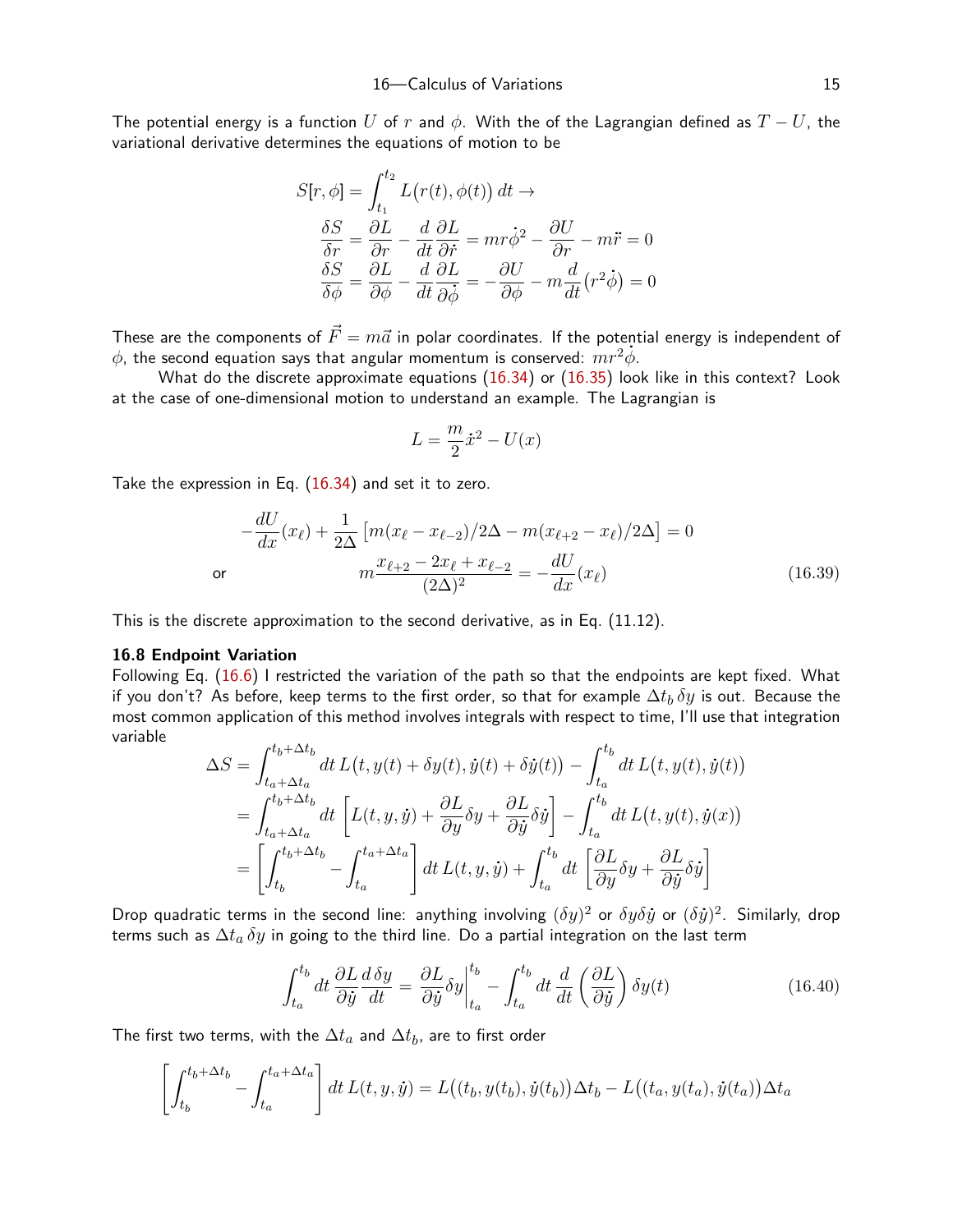The potential energy is a function U of r and  $\phi$ . With the of the Lagrangian defined as  $T - U$ , the variational derivative determines the equations of motion to be

$$
S[r, \phi] = \int_{t_1}^{t_2} L(r(t), \phi(t)) dt \rightarrow
$$
  

$$
\frac{\delta S}{\delta r} = \frac{\partial L}{\partial r} - \frac{d}{dt} \frac{\partial L}{\partial \dot{r}} = mr\dot{\phi}^2 - \frac{\partial U}{\partial r} - m\ddot{r} = 0
$$
  

$$
\frac{\delta S}{\delta \phi} = \frac{\partial L}{\partial \phi} - \frac{d}{dt} \frac{\partial L}{\partial \dot{\phi}} = -\frac{\partial U}{\partial \phi} - m\frac{d}{dt}(r^2\dot{\phi}) = 0
$$

These are the components of  $\vec{F} = m\vec{a}$  in polar coordinates. If the potential energy is independent of  $\phi$ , the second equation says that angular momentum is conserved:  $mr^{2}\dot{\phi}$ .

What do the discrete approximate equations [\(16.3](#page-12-1)4) or ([16.3](#page-12-2)5) look like in this context? Look at the case of one-dimensional motion to understand an example. The Lagrangian is

$$
L = \frac{m}{2}\dot{x}^2 - U(x)
$$

Take the expression in Eq. [\(16.3](#page-12-1)4) and set it to zero.

$$
-\frac{dU}{dx}(x_{\ell}) + \frac{1}{2\Delta} \left[ m(x_{\ell} - x_{\ell-2})/2\Delta - m(x_{\ell+2} - x_{\ell})/2\Delta \right] = 0
$$
  
or 
$$
m \frac{x_{\ell+2} - 2x_{\ell} + x_{\ell-2}}{(2\Delta)^2} = -\frac{dU}{dx}(x_{\ell})
$$
(16.39)

This is the discrete approximation to the second derivative, as in Eq. (11.12).

# 16.8 Endpoint Variation

Following Eq. [\(16.6](#page-2-0)) I restricted the variation of the path so that the endpoints are kept fixed. What if you don't? As before, keep terms to the first order, so that for example  $\Delta t_b \, \delta y$  is out. Because the most common application of this method involves integrals with respect to time, I'll use that integration variable

$$
\Delta S = \int_{t_a + \Delta t_b}^{t_b + \Delta t_b} dt L(t, y(t) + \delta y(t), \dot{y}(t) + \delta \dot{y}(t)) - \int_{t_a}^{t_b} dt L(t, y(t), \dot{y}(t))
$$
  
\n
$$
= \int_{t_a + \Delta t_a}^{t_b + \Delta t_b} dt \left[ L(t, y, \dot{y}) + \frac{\partial L}{\partial y} \delta y + \frac{\partial L}{\partial \dot{y}} \delta \dot{y} \right] - \int_{t_a}^{t_b} dt L(t, y(t), \dot{y}(x))
$$
  
\n
$$
= \left[ \int_{t_b}^{t_b + \Delta t_b} - \int_{t_a}^{t_a + \Delta t_a} \right] dt L(t, y, \dot{y}) + \int_{t_a}^{t_b} dt \left[ \frac{\partial L}{\partial y} \delta y + \frac{\partial L}{\partial \dot{y}} \delta \dot{y} \right]
$$

Drop quadratic terms in the second line: anything involving  $(\delta y)^2$  or  $\delta y \delta y$  or  $(\delta \dot y)^2$ . Similarly, drop terms such as  $\Delta t_a \, \delta y$  in going to the third line. Do a partial integration on the last term

$$
\int_{t_a}^{t_b} dt \frac{\partial L}{\partial \dot{y}} \frac{d \delta y}{dt} = \frac{\partial L}{\partial \dot{y}} \delta y \Big|_{t_a}^{t_b} - \int_{t_a}^{t_b} dt \frac{d}{dt} \left(\frac{\partial L}{\partial \dot{y}}\right) \delta y(t) \tag{16.40}
$$

The first two terms, with the  $\Delta t_a$  and  $\Delta t_b$ , are to first order

$$
\left[\int_{t_b}^{t_b+\Delta t_b} - \int_{t_a}^{t_a+\Delta t_a} \right] dt L(t, y, \dot{y}) = L((t_b, y(t_b), \dot{y}(t_b))\Delta t_b - L((t_a, y(t_a), \dot{y}(t_a))\Delta t_a
$$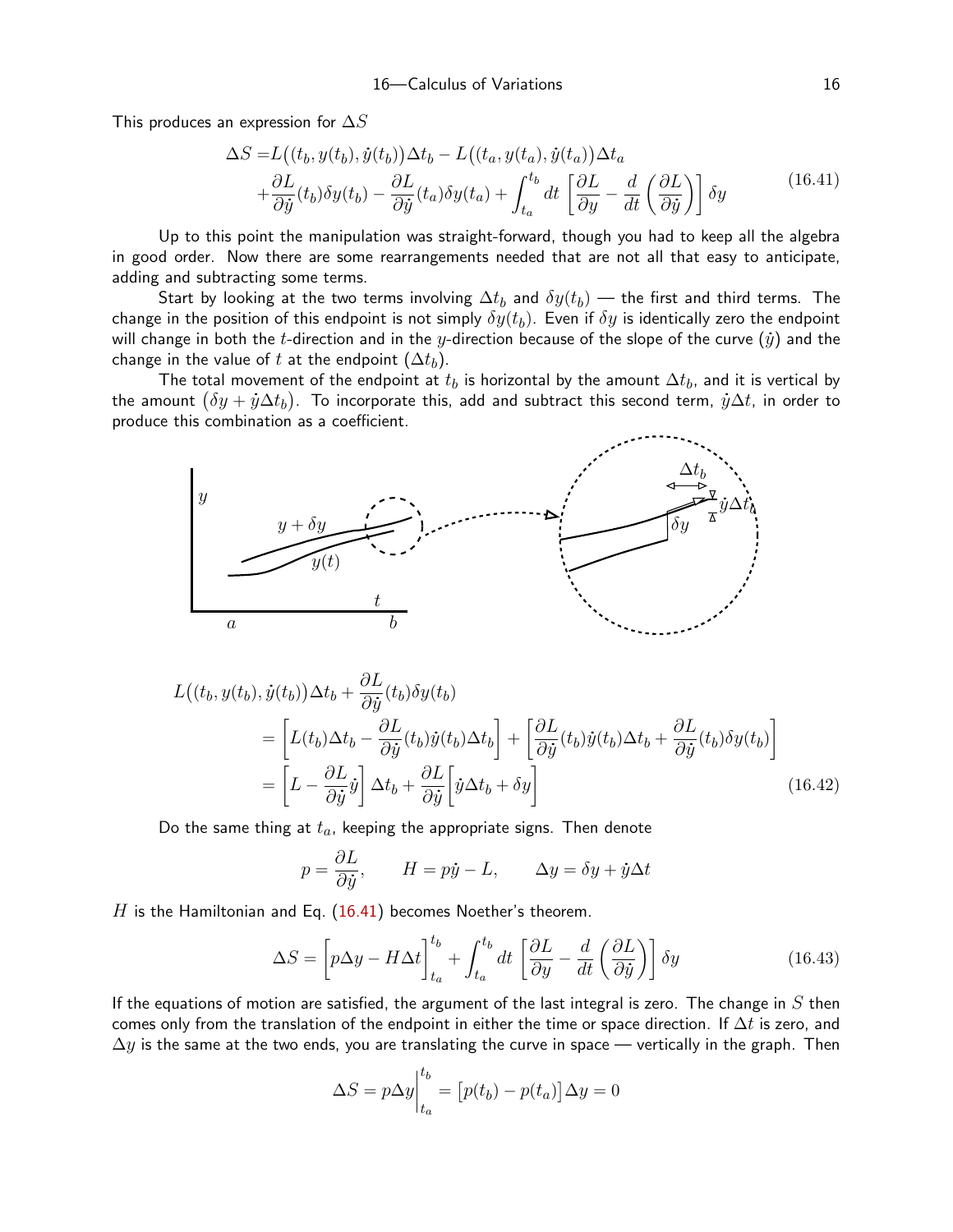This produces an expression for  $\Delta S$ 

<span id="page-15-0"></span>
$$
\Delta S = L((t_b, y(t_b), \dot{y}(t_b)) \Delta t_b - L((t_a, y(t_a), \dot{y}(t_a)) \Delta t_a + \frac{\partial L}{\partial \dot{y}}(t_b) \delta y(t_b) - \frac{\partial L}{\partial \dot{y}}(t_a) \delta y(t_a) + \int_{t_a}^{t_b} dt \left[ \frac{\partial L}{\partial y} - \frac{d}{dt} \left( \frac{\partial L}{\partial \dot{y}} \right) \right] \delta y
$$
(16.41)

Up to this point the manipulation was straight-forward, though you had to keep all the algebra in good order. Now there are some rearrangements needed that are not all that easy to anticipate, adding and subtracting some terms.

Start by looking at the two terms involving  $\Delta t_b$  and  $\delta y(t_b)$  — the first and third terms. The change in the position of this endpoint is not simply  $\delta y(t_b)$ . Even if  $\delta y$  is identically zero the endpoint will change in both the t-direction and in the y-direction because of the slope of the curve  $(\dot{y})$  and the change in the value of  $t$  at the endpoint  $(\Delta t_b).$ 

The total movement of the endpoint at  $t_b$  is horizontal by the amount  $\Delta t_b$ , and it is vertical by the amount  $(\delta y + \dot{y}\Delta t_b)$ . To incorporate this, add and subtract this second term,  $\dot{y}\Delta t$ , in order to produce this combination as a coefficient.



$$
L((t_b, y(t_b), \dot{y}(t_b)) \Delta t_b + \frac{\partial L}{\partial \dot{y}}(t_b) \delta y(t_b)
$$
  
\n
$$
= \left[ L(t_b) \Delta t_b - \frac{\partial L}{\partial \dot{y}}(t_b) \dot{y}(t_b) \Delta t_b \right] + \left[ \frac{\partial L}{\partial \dot{y}}(t_b) \dot{y}(t_b) \Delta t_b + \frac{\partial L}{\partial \dot{y}}(t_b) \delta y(t_b) \right]
$$
  
\n
$$
= \left[ L - \frac{\partial L}{\partial \dot{y}} \dot{y} \right] \Delta t_b + \frac{\partial L}{\partial \dot{y}} \left[ \dot{y} \Delta t_b + \delta y \right]
$$
(16.42)

Do the same thing at  $t_a$ , keeping the appropriate signs. Then denote

$$
p = \frac{\partial L}{\partial \dot{y}},
$$
  $H = p\dot{y} - L,$   $\Delta y = \delta y + \dot{y}\Delta t$ 

H is the Hamiltonian and Eq.  $(16.41)$  $(16.41)$  $(16.41)$  becomes Noether's theorem.

$$
\Delta S = \left[ p\Delta y - H\Delta t \right]_{t_a}^{t_b} + \int_{t_a}^{t_b} dt \left[ \frac{\partial L}{\partial y} - \frac{d}{dt} \left( \frac{\partial L}{\partial \dot{y}} \right) \right] \delta y \tag{16.43}
$$

If the equations of motion are satisfied, the argument of the last integral is zero. The change in  $S$  then comes only from the translation of the endpoint in either the time or space direction. If  $\Delta t$  is zero, and  $\Delta y$  is the same at the two ends, you are translating the curve in space — vertically in the graph. Then

<span id="page-15-1"></span>
$$
\Delta S = p\Delta y \Big|_{t_a}^{t_b} = [p(t_b) - p(t_a)]\Delta y = 0
$$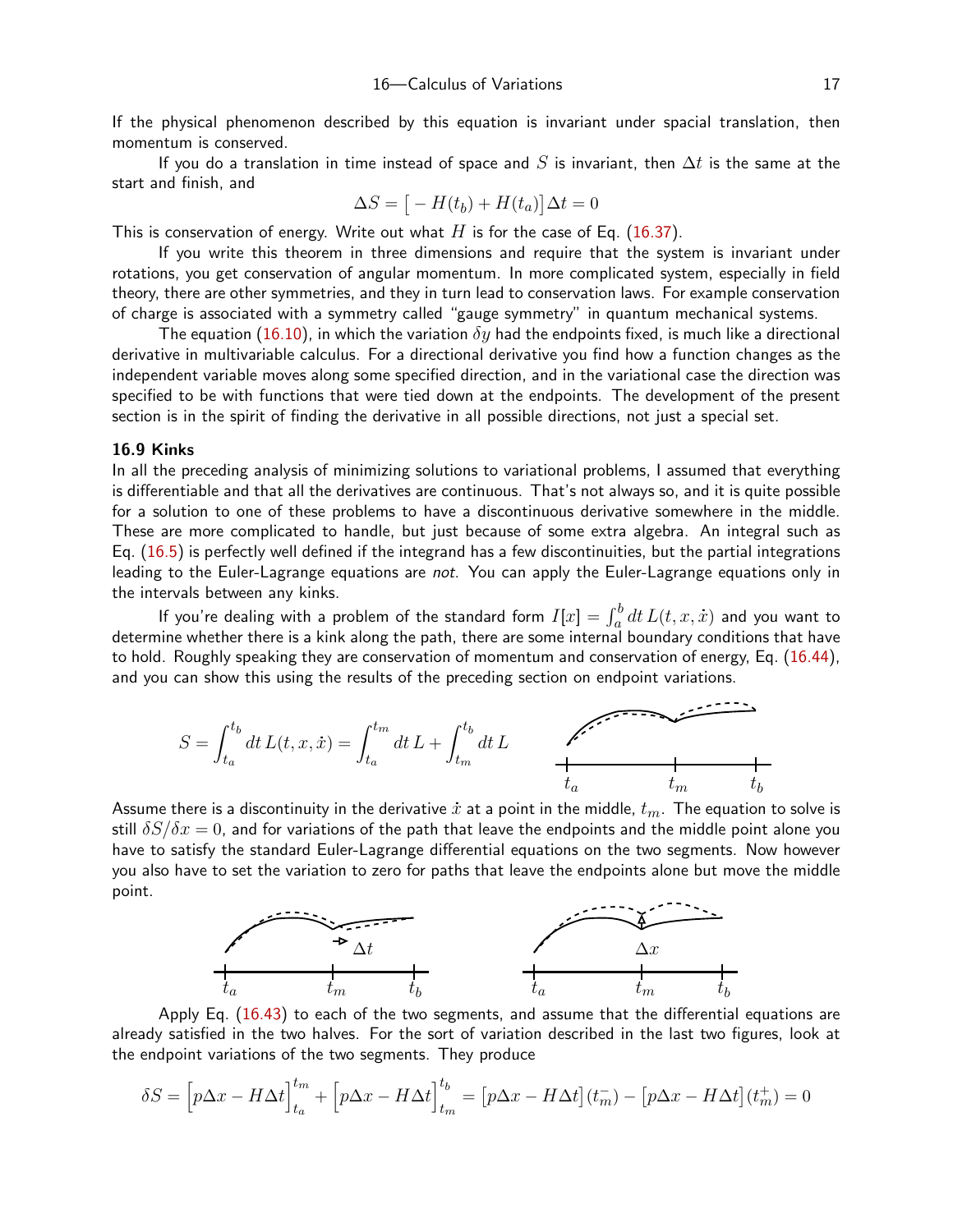If the physical phenomenon described by this equation is invariant under spacial translation, then momentum is conserved.

If you do a translation in time instead of space and S is invariant, then  $\Delta t$  is the same at the start and finish, and

$$
\Delta S = \big[ -H(t_b) + H(t_a) \big] \Delta t = 0
$$

This is conservation of energy. Write out what H is for the case of Eq. ([16.3](#page-13-0)7).

If you write this theorem in three dimensions and require that the system is invariant under rotations, you get conservation of angular momentum. In more complicated system, especially in field theory, there are other symmetries, and they in turn lead to conservation laws. For example conservation of charge is associated with a symmetry called "gauge symmetry" in quantum mechanical systems.

The equation ([16.1](#page-4-0)0), in which the variation  $\delta y$  had the endpoints fixed, is much like a directional derivative in multivariable calculus. For a directional derivative you find how a function changes as the independent variable moves along some specified direction, and in the variational case the direction was specified to be with functions that were tied down at the endpoints. The development of the present section is in the spirit of finding the derivative in all possible directions, not just a special set.

#### 16.9 Kinks

<span id="page-16-0"></span>In all the preceding analysis of minimizing solutions to variational problems, I assumed that everything is differentiable and that all the derivatives are continuous. That's not always so, and it is quite possible for a solution to one of these problems to have a discontinuous derivative somewhere in the middle. These are more complicated to handle, but just because of some extra algebra. An integral such as Eq. ([16.5](#page-2-2)) is perfectly well defined if the integrand has a few discontinuities, but the partial integrations leading to the Euler-Lagrange equations are not. You can apply the Euler-Lagrange equations only in the intervals between any kinks.

If you're dealing with a problem of the standard form  $I[x]=\int_a^b dt\, L(t,x,\dot{x})$  and you want to determine whether there is a kink along the path, there are some internal boundary conditions that have to hold. Roughly speaking they are conservation of momentum and conservation of energy, Eq. ([16.4](#page-17-0)4), and you can show this using the results of the preceding section on endpoint variations.

$$
S = \int_{t_a}^{t_b} dt \, L(t, x, \dot{x}) = \int_{t_a}^{t_m} dt \, L + \int_{t_m}^{t_b} dt \, L
$$

Assume there is a discontinuity in the derivative x at a point in the middle,  $t_m$ . The equation to solve is still  $\delta S/\delta x = 0$ , and for variations of the path that leave the endpoints and the middle point alone you have to satisfy the standard Euler-Lagrange differential equations on the two segments. Now however you also have to set the variation to zero for paths that leave the endpoints alone but move the middle point.



Apply Eq. ([16.4](#page-15-1)3) to each of the two segments, and assume that the differential equations are already satisfied in the two halves. For the sort of variation described in the last two figures, look at the endpoint variations of the two segments. They produce

$$
\delta S = \left[ p\Delta x - H\Delta t \right]_{t_a}^{t_m} + \left[ p\Delta x - H\Delta t \right]_{t_m}^{t_b} = \left[ p\Delta x - H\Delta t \right] (t_m^-) - \left[ p\Delta x - H\Delta t \right] (t_m^+) = 0
$$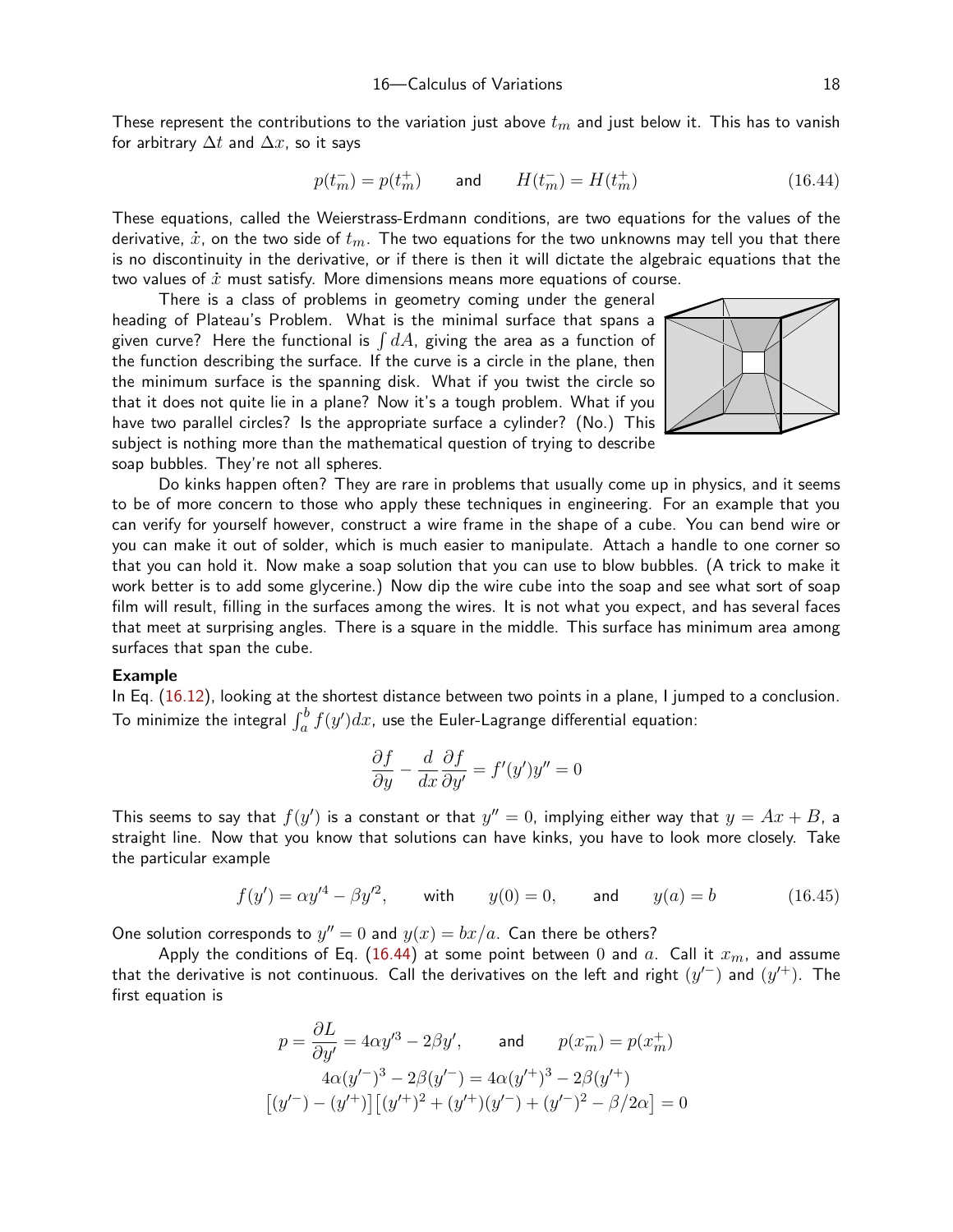These represent the contributions to the variation just above  $t_m$  and just below it. This has to vanish for arbitrary  $\Delta t$  and  $\Delta x$ , so it says

$$
p(t_m^-) = p(t_m^+) \qquad \text{and} \qquad H(t_m^-) = H(t_m^+) \tag{16.44}
$$

These equations, called the Weierstrass-Erdmann conditions, are two equations for the values of the derivative,  $\dot{x}$ , on the two side of  $t_m$ . The two equations for the two unknowns may tell you that there is no discontinuity in the derivative, or if there is then it will dictate the algebraic equations that the two values of  $\dot{x}$  must satisfy. More dimensions means more equations of course.

There is a class of problems in geometry coming under the general heading of Plateau's Problem. What is the minimal surface that spans a given curve? Here the functional is  $\int dA$ , giving the area as a function of the function describing the surface. If the curve is a circle in the plane, then the minimum surface is the spanning disk. What if you twist the circle so that it does not quite lie in a plane? Now it's a tough problem. What if you have two parallel circles? Is the appropriate surface a cylinder? (No.) This subject is nothing more than the mathematical question of trying to describe soap bubbles. They're not all spheres.

<span id="page-17-0"></span>

Do kinks happen often? They are rare in problems that usually come up in physics, and it seems to be of more concern to those who apply these techniques in engineering. For an example that you can verify for yourself however, construct a wire frame in the shape of a cube. You can bend wire or you can make it out of solder, which is much easier to manipulate. Attach a handle to one corner so that you can hold it. Now make a soap solution that you can use to blow bubbles. (A trick to make it work better is to add some glycerine.) Now dip the wire cube into the soap and see what sort of soap film will result, filling in the surfaces among the wires. It is not what you expect, and has several faces that meet at surprising angles. There is a square in the middle. This surface has minimum area among surfaces that span the cube.

#### Example

In Eq. [\(16.1](#page-4-1)2), looking at the shortest distance between two points in a plane, I jumped to a conclusion. To minimize the integral  $\int_a^b f(y') dx$ , use the Euler-Lagrange differential equation:

<span id="page-17-1"></span>
$$
\frac{\partial f}{\partial y} - \frac{d}{dx} \frac{\partial f}{\partial y'} = f'(y')y'' = 0
$$

This seems to say that  $f(y')$  is a constant or that  $y''=0$ , implying either way that  $y=Ax+B$ , a straight line. Now that you know that solutions can have kinks, you have to look more closely. Take the particular example

$$
f(y') = \alpha y'^4 - \beta y'^2
$$
, with  $y(0) = 0$ , and  $y(a) = b$  (16.45)

One solution corresponds to  $y'' = 0$  and  $y(x) = bx/a$ . Can there be others?

Apply the conditions of Eq. ([16.4](#page-17-0)4) at some point between 0 and a. Call it  $x_m$ , and assume that the derivative is not continuous. Call the derivatives on the left and right  $(y'^-)$  and  $(y'^+)$ . The first equation is

$$
p = \frac{\partial L}{\partial y'} = 4\alpha y'^3 - 2\beta y', \quad \text{and} \quad p(x_m^-) = p(x_m^+)
$$
  

$$
4\alpha (y'^{-})^3 - 2\beta (y'^{-}) = 4\alpha (y'^{+})^3 - 2\beta (y'^{+})
$$
  

$$
[(y'^{-}) - (y'^{+})] [(y'^{+})^2 + (y'^{+})(y'^{-}) + (y'^{-})^2 - \beta/2\alpha] = 0
$$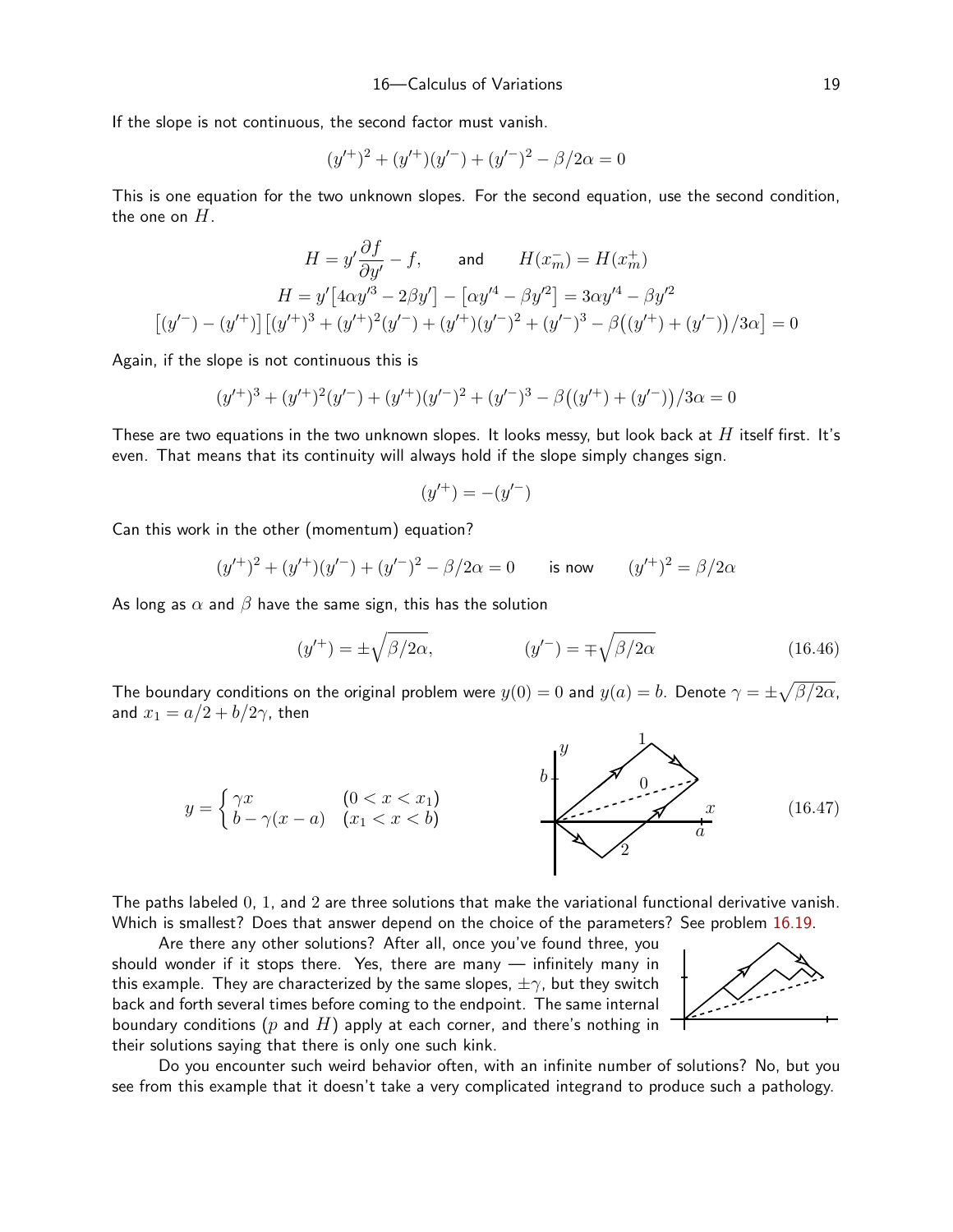If the slope is not continuous, the second factor must vanish.

$$
(y'^{+})^{2} + (y'^{+})(y'^{-}) + (y'^{-})^{2} - \beta/2\alpha = 0
$$

This is one equation for the two unknown slopes. For the second equation, use the second condition, the one on  $H$ .

$$
H = y' \frac{\partial f}{\partial y'} - f, \quad \text{and} \quad H(x_m^-) = H(x_m^+)
$$

$$
H = y' [4\alpha y'^3 - 2\beta y'] - [\alpha y'^4 - \beta y'^2] = 3\alpha y'^4 - \beta y'^2
$$

$$
[(y'^-) - (y'^+)][(y'^+)^3 + (y'^+)^2(y'^-) + (y'^+)(y'^-)^2 + (y'^-)^3 - \beta((y'^+) + (y'^-))/3\alpha] = 0
$$

Again, if the slope is not continuous this is

$$
(y'^{+})^3 + (y'^{+})^2(y'^{-}) + (y'^{+})(y'^{-})^2 + (y'^{-})^3 - \beta((y'^{+}) + (y'^{-}))/3\alpha = 0
$$

These are two equations in the two unknown slopes. It looks messy, but look back at  $H$  itself first. It's even. That means that its continuity will always hold if the slope simply changes sign.

$$
(y^{\prime +}) = -(y^{\prime -})
$$

Can this work in the other (momentum) equation?

$$
(y'^+)^2 + (y'^+)(y'^-) + (y'^-)^2 - \beta/2\alpha = 0 \qquad \text{is now} \qquad (y'^+)^2 = \beta/2\alpha
$$

As long as  $\alpha$  and  $\beta$  have the same sign, this has the solution

$$
(y'^+) = \pm \sqrt{\beta/2\alpha}, \qquad (y'^-) = \mp \sqrt{\beta/2\alpha} \qquad (16.46)
$$

The boundary conditions on the original problem were  $y(0)=0$  and  $y(a)=b.$  Denote  $\gamma=\pm\sqrt{\beta/2\alpha}$ , and  $x_1 = a/2 + b/2\gamma$ , then



The paths labeled 0, 1, and 2 are three solutions that make the variational functional derivative vanish. Which is smallest? Does that answer depend on the choice of the parameters? See problem [16.1](#page-24-2)9.

Are there any other solutions? After all, once you've found three, you should wonder if it stops there. Yes, there are many — infinitely many in this example. They are characterized by the same slopes,  $\pm \gamma$ , but they switch back and forth several times before coming to the endpoint. The same internal boundary conditions ( $p$  and  $H$ ) apply at each corner, and there's nothing in their solutions saying that there is only one such kink.

<span id="page-18-1"></span><span id="page-18-0"></span>

Do you encounter such weird behavior often, with an infinite number of solutions? No, but you see from this example that it doesn't take a very complicated integrand to produce such a pathology.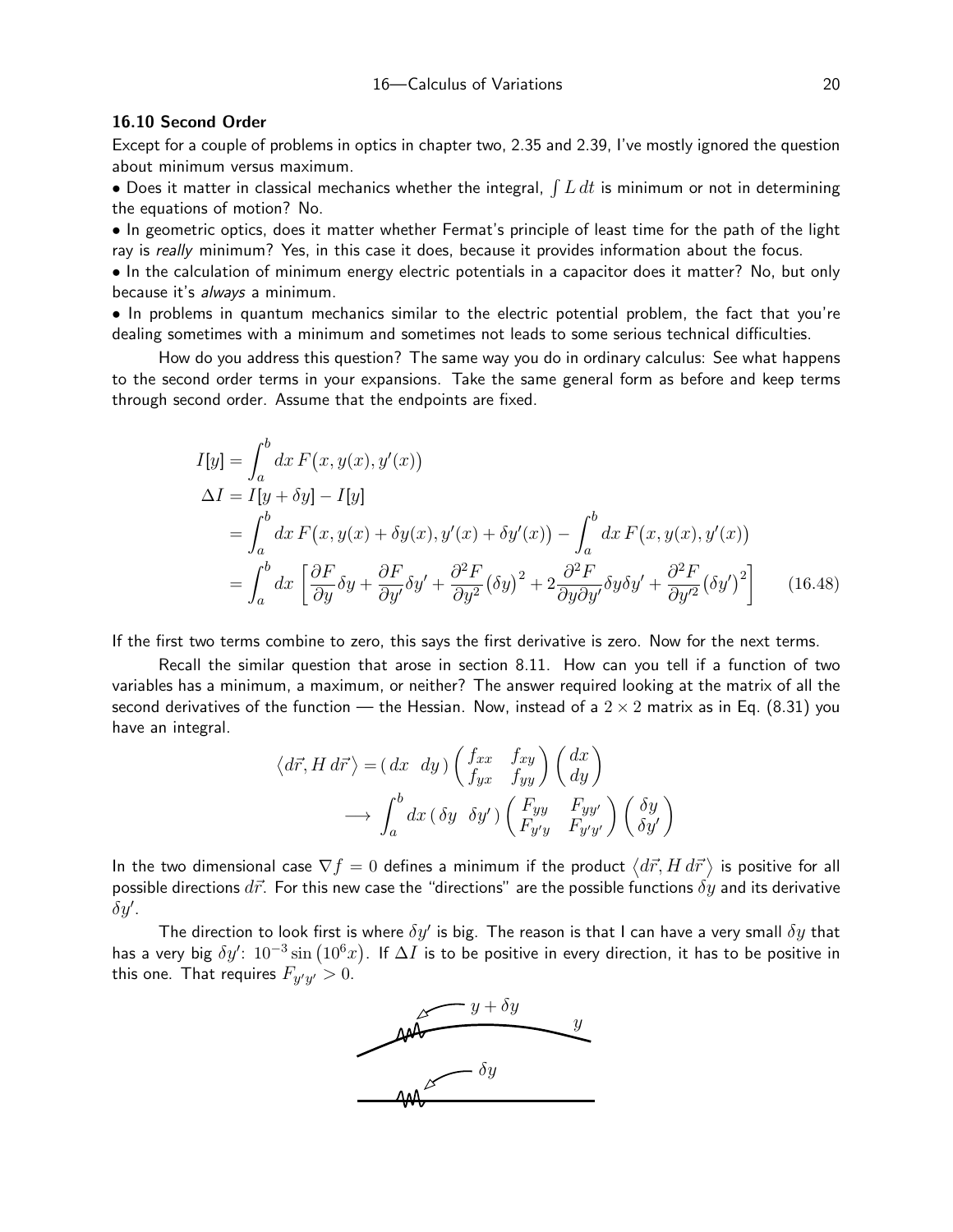## 16.10 Second Order

<span id="page-19-0"></span>Except for a couple of problems in optics in chapter two, 2.35 and 2.39, I've mostly ignored the question about minimum versus maximum.

 $\bullet$  Does it matter in classical mechanics whether the integral,  $\int L\,dt$  is minimum or not in determining the equations of motion? No.

• In geometric optics, does it matter whether Fermat's principle of least time for the path of the light ray is really minimum? Yes, in this case it does, because it provides information about the focus.

• In the calculation of minimum energy electric potentials in a capacitor does it matter? No, but only because it's always a minimum.

• In problems in quantum mechanics similar to the electric potential problem, the fact that you're dealing sometimes with a minimum and sometimes not leads to some serious technical difficulties.

How do you address this question? The same way you do in ordinary calculus: See what happens to the second order terms in your expansions. Take the same general form as before and keep terms through second order. Assume that the endpoints are fixed.

$$
I[y] = \int_{a}^{b} dx F(x, y(x), y'(x))
$$
  
\n
$$
\Delta I = I[y + \delta y] - I[y]
$$
  
\n
$$
= \int_{a}^{b} dx F(x, y(x) + \delta y(x), y'(x) + \delta y'(x)) - \int_{a}^{b} dx F(x, y(x), y'(x))
$$
  
\n
$$
= \int_{a}^{b} dx \left[ \frac{\partial F}{\partial y} \delta y + \frac{\partial F}{\partial y'} \delta y' + \frac{\partial^2 F}{\partial y^2} (\delta y)^2 + 2 \frac{\partial^2 F}{\partial y \partial y'} \delta y \delta y' + \frac{\partial^2 F}{\partial y'^2} (\delta y')^2 \right]
$$
(16.48)

If the first two terms combine to zero, this says the first derivative is zero. Now for the next terms.

Recall the similar question that arose in section 8.11. How can you tell if a function of two variables has a minimum, a maximum, or neither? The answer required looking at the matrix of all the second derivatives of the function — the Hessian. Now, instead of a  $2 \times 2$  matrix as in Eq. (8.31) you have an integral.

<span id="page-19-1"></span>
$$
\langle d\vec{r}, H d\vec{r} \rangle = (dx \ dy) \begin{pmatrix} f_{xx} & f_{xy} \\ f_{yx} & f_{yy} \end{pmatrix} \begin{pmatrix} dx \\ dy \end{pmatrix}
$$

$$
\longrightarrow \int_{a}^{b} dx (\delta y \ \delta y') \begin{pmatrix} F_{yy} & F_{yy'} \\ F_{y'y} & F_{y'y'} \end{pmatrix} \begin{pmatrix} \delta y \\ \delta y' \end{pmatrix}
$$

In the two dimensional case  $\nabla f = 0$  defines a minimum if the product  $\langle d\vec{r}, H\, d\vec{r}\,\rangle$  is positive for all possible directions  $d\vec{r}$ . For this new case the "directions" are the possible functions  $\delta y$  and its derivative  $\delta y'$ .

The direction to look first is where  $\delta y'$  is big. The reason is that I can have a very small  $\delta y$  that has a very big  $\delta y'$ :  $10^{-3}\sin{(10^6x)}$ . If  $\Delta I$  is to be positive in every direction, it has to be positive in this one. That requires  $F_{y'y'} > 0$ .

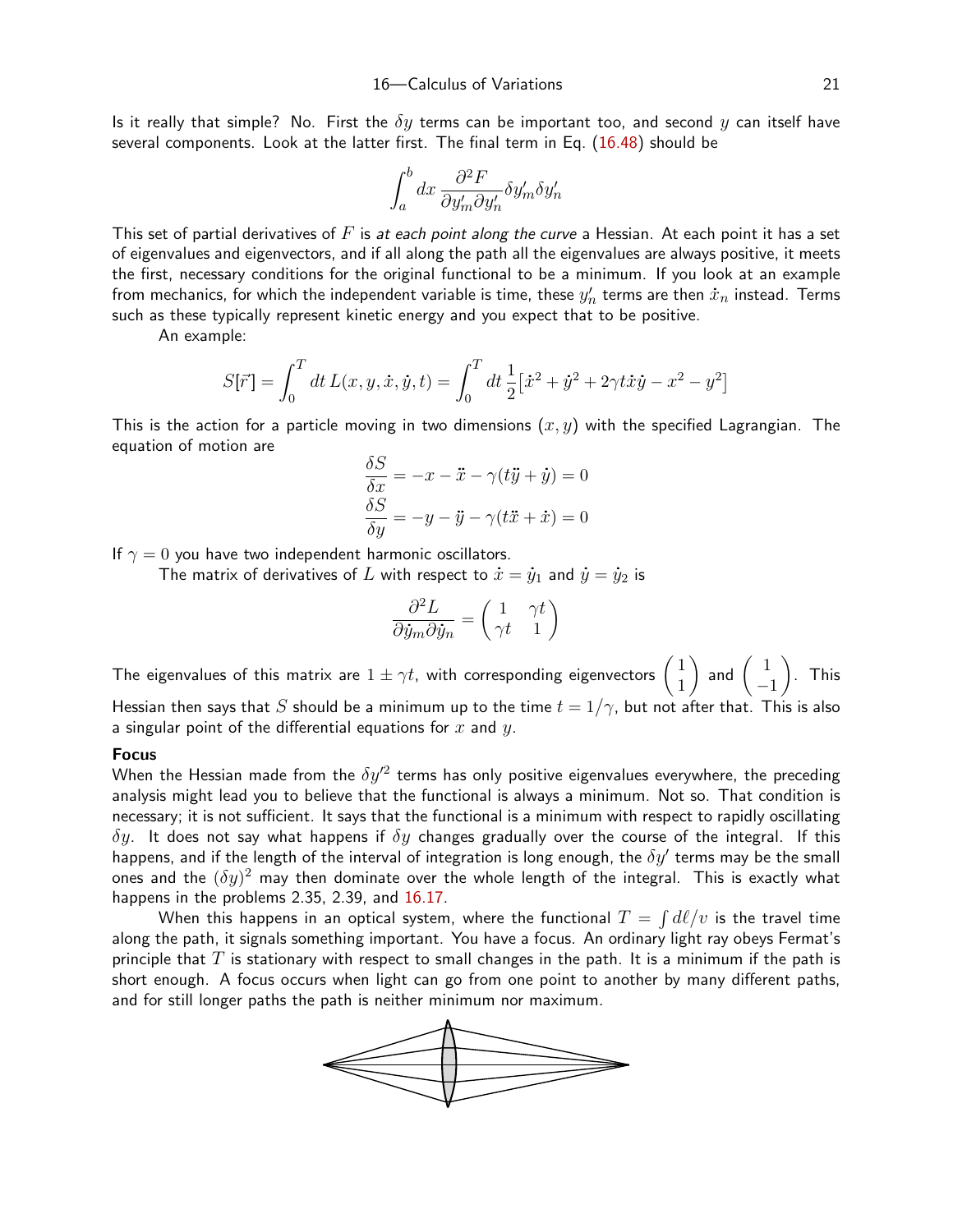Is it really that simple? No. First the  $\delta y$  terms can be important too, and second y can itself have several components. Look at the latter first. The final term in Eq. ([16.4](#page-19-1)8) should be

$$
\int_a^b dx\, \frac{\partial^2 F}{\partial y_m'\partial y_n'} \delta y_m' \delta y_n'
$$

This set of partial derivatives of F is at each point along the curve a Hessian. At each point it has a set of eigenvalues and eigenvectors, and if all along the path all the eigenvalues are always positive, it meets the first, necessary conditions for the original functional to be a minimum. If you look at an example from mechanics, for which the independent variable is time, these  $y_n^\prime$  terms are then  $\dot{x}_n$  instead. Terms such as these typically represent kinetic energy and you expect that to be positive.

An example:

$$
S[\vec{r}] = \int_0^T dt L(x, y, \dot{x}, \dot{y}, t) = \int_0^T dt \frac{1}{2} [\dot{x}^2 + \dot{y}^2 + 2\gamma t \dot{x} \dot{y} - x^2 - y^2]
$$

This is the action for a particle moving in two dimensions  $(x, y)$  with the specified Lagrangian. The equation of motion are

$$
\frac{\delta S}{\delta x} = -x - \ddot{x} - \gamma(t\ddot{y} + \dot{y}) = 0
$$

$$
\frac{\delta S}{\delta y} = -y - \ddot{y} - \gamma(t\ddot{x} + \dot{x}) = 0
$$

If  $\gamma = 0$  you have two independent harmonic oscillators.

The matrix of derivatives of L with respect to  $\dot{x} = \dot{y}_1$  and  $\dot{y} = \dot{y}_2$  is

$$
\frac{\partial^2 L}{\partial \dot{y}_m \partial \dot{y}_n} = \begin{pmatrix} 1 & \gamma t \\ \gamma t & 1 \end{pmatrix}
$$

The eigenvalues of this matrix are  $1\pm\gamma t$ , with corresponding eigenvectors  $\Big(\frac{1}{1}\Big)$ 1  $\Big)$  and  $\Big( \begin{array}{c} 1 \end{array} \Big)$ −1 . This Hessian then says that S should be a minimum up to the time  $t = 1/\gamma$ , but not after that. This is also a singular point of the differential equations for  $x$  and  $y$ .

#### Focus

When the Hessian made from the  $\delta y^{\prime2}$  terms has only positive eigenvalues everywhere, the preceding analysis might lead you to believe that the functional is always a minimum. Not so. That condition is necessary; it is not sufficient. It says that the functional is a minimum with respect to rapidly oscillating  $\delta y$ . It does not say what happens if  $\delta y$  changes gradually over the course of the integral. If this happens, and if the length of the interval of integration is long enough, the  $\delta y'$  terms may be the small ones and the  $(\delta y)^2$  may then dominate over the whole length of the integral. This is exactly what happens in the problems 2.35, 2.39, and [16.1](#page-24-3)7.

When this happens in an optical system, where the functional  $T=\int d\ell/v$  is the travel time along the path, it signals something important. You have a focus. An ordinary light ray obeys Fermat's principle that  $T$  is stationary with respect to small changes in the path. It is a minimum if the path is short enough. A focus occurs when light can go from one point to another by many different paths, and for still longer paths the path is neither minimum nor maximum.

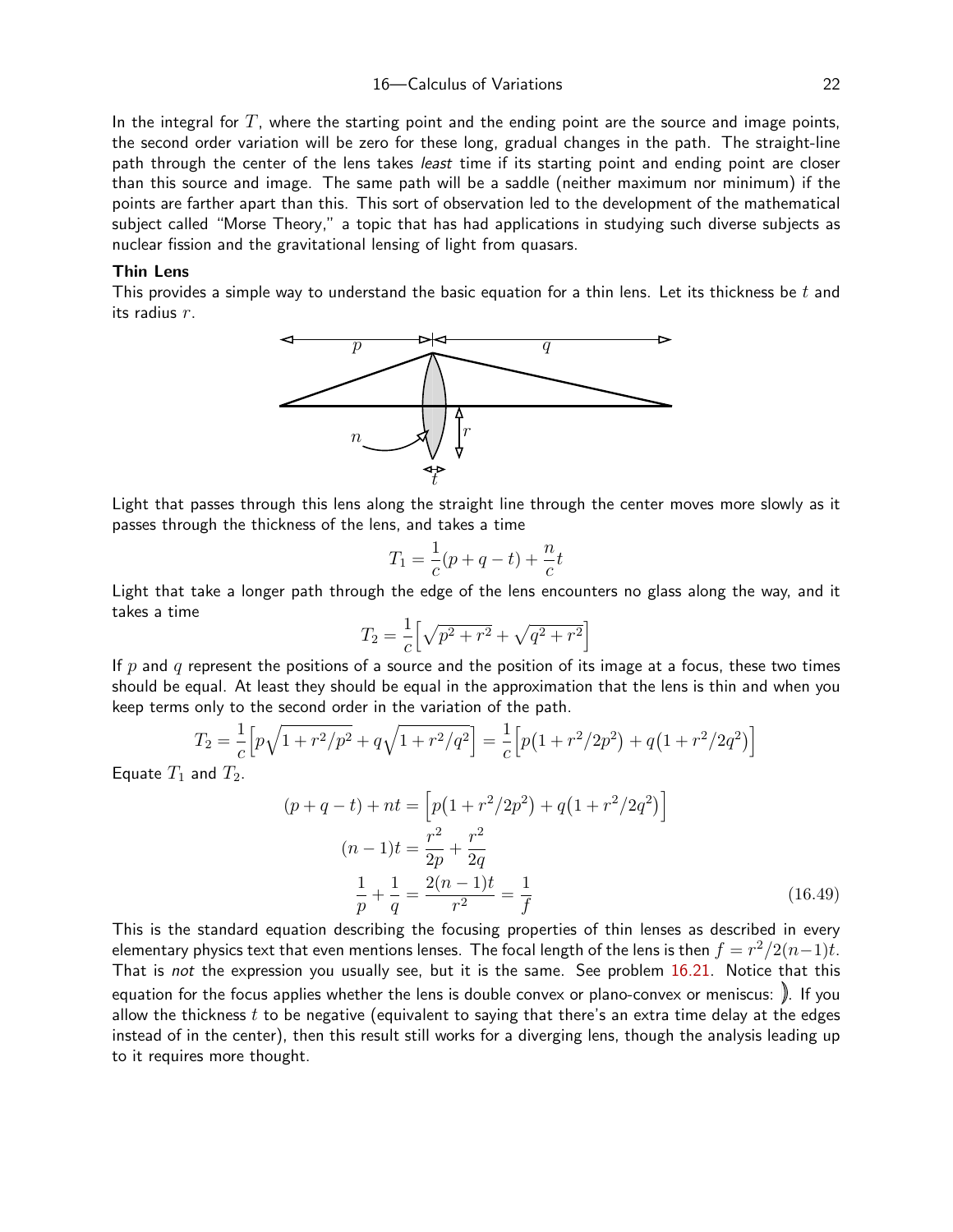In the integral for  $T$ , where the starting point and the ending point are the source and image points, the second order variation will be zero for these long, gradual changes in the path. The straight-line path through the center of the lens takes least time if its starting point and ending point are closer than this source and image. The same path will be a saddle (neither maximum nor minimum) if the points are farther apart than this. This sort of observation led to the development of the mathematical subject called "Morse Theory," a topic that has had applications in studying such diverse subjects as nuclear fission and the gravitational lensing of light from quasars.

### Thin Lens

This provides a simple way to understand the basic equation for a thin lens. Let its thickness be  $t$  and its radius r.



Light that passes through this lens along the straight line through the center moves more slowly as it passes through the thickness of the lens, and takes a time

$$
T_1 = \frac{1}{c}(p+q-t) + \frac{n}{c}t
$$

Light that take a longer path through the edge of the lens encounters no glass along the way, and it takes a time

$$
T_2 = \frac{1}{c} \left[ \sqrt{p^2 + r^2} + \sqrt{q^2 + r^2} \right]
$$

If p and q represent the positions of a source and the position of its image at a focus, these two times should be equal. At least they should be equal in the approximation that the lens is thin and when you keep terms only to the second order in the variation of the path.

$$
T_2 = \frac{1}{c} \left[ p \sqrt{1 + r^2/p^2} + q \sqrt{1 + r^2/q^2} \right] = \frac{1}{c} \left[ p \left( 1 + r^2/2p^2 \right) + q \left( 1 + r^2/2q^2 \right) \right]
$$

Equate  $T_1$  and  $T_2$ .

<span id="page-21-0"></span>
$$
(p+q-t) + nt = \left[ p(1+r^2/2p^2) + q(1+r^2/2q^2) \right]
$$

$$
(n-1)t = \frac{r^2}{2p} + \frac{r^2}{2q}
$$

$$
\frac{1}{p} + \frac{1}{q} = \frac{2(n-1)t}{r^2} = \frac{1}{f}
$$
(16.49)

This is the standard equation describing the focusing properties of thin lenses as described in every elementary physics text that even mentions lenses. The focal length of the lens is then  $f=r^2/2(n\!-\!1)t.$ That is not the expression you usually see, but it is the same. See problem [16.2](#page-24-4)1. Notice that this equation for the focus applies whether the lens is double convex or plano-convex or meniscus:  $\parallel$ . If you allow the thickness  $t$  to be negative (equivalent to saying that there's an extra time delay at the edges instead of in the center), then this result still works for a diverging lens, though the analysis leading up to it requires more thought.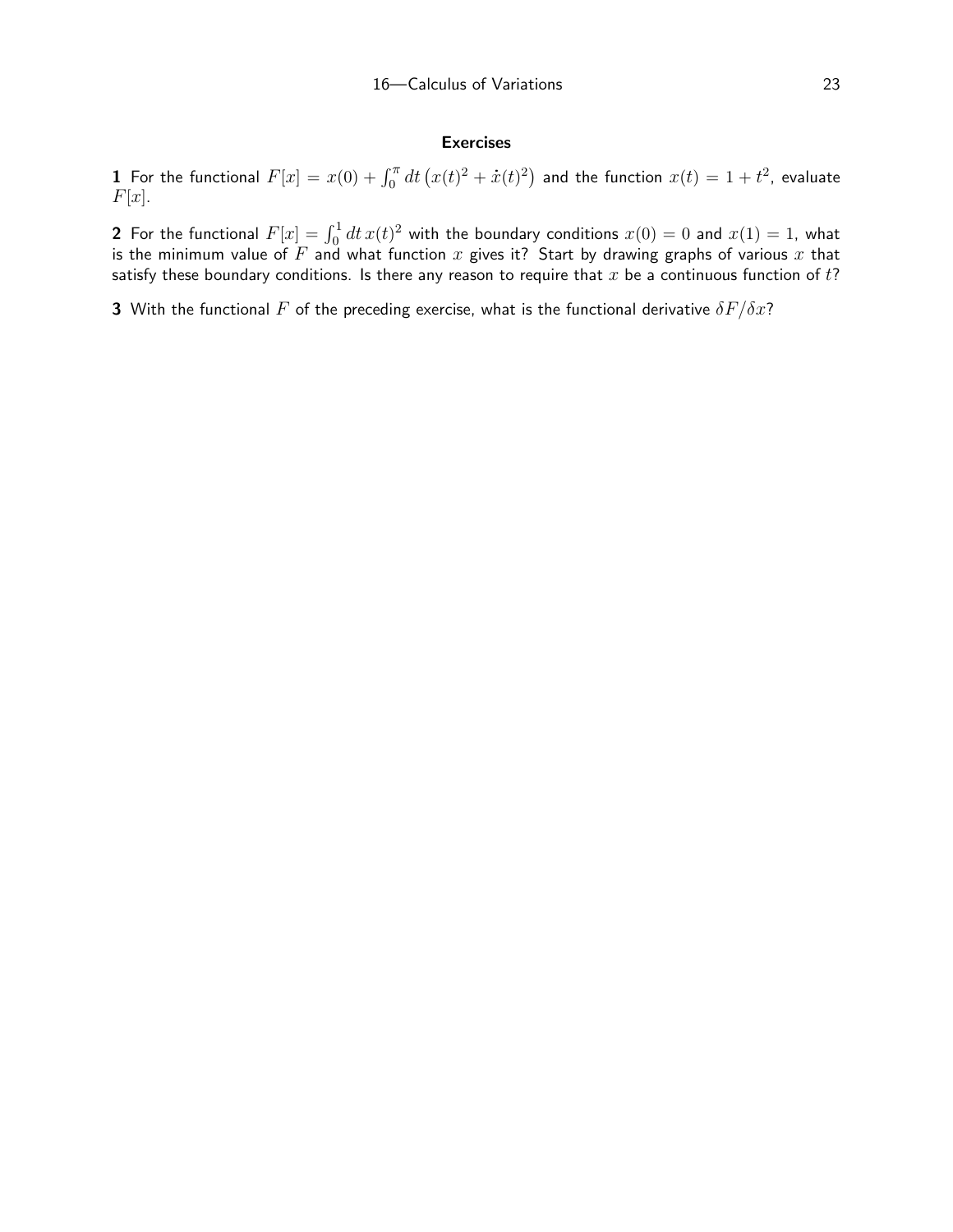## Exercises

**1** For the functional  $F[x] = x(0) + \int_0^{\pi} dt (x(t)^2 + \dot{x}(t)^2)$  and the function  $x(t) = 1 + t^2$ , evaluate  $F[x]$ .

 $2$  For the functional  $F[x]=\int_0^1 dt\, x(t)^2$  with the boundary conditions  $x(0)=0$  and  $x(1)=1$ , what is the minimum value of  $F$  and what function  $x$  gives it? Start by drawing graphs of various  $x$  that satisfy these boundary conditions. Is there any reason to require that  $x$  be a continuous function of  $t$ ?

3 With the functional F of the preceding exercise, what is the functional derivative  $\delta F/\delta x$ ?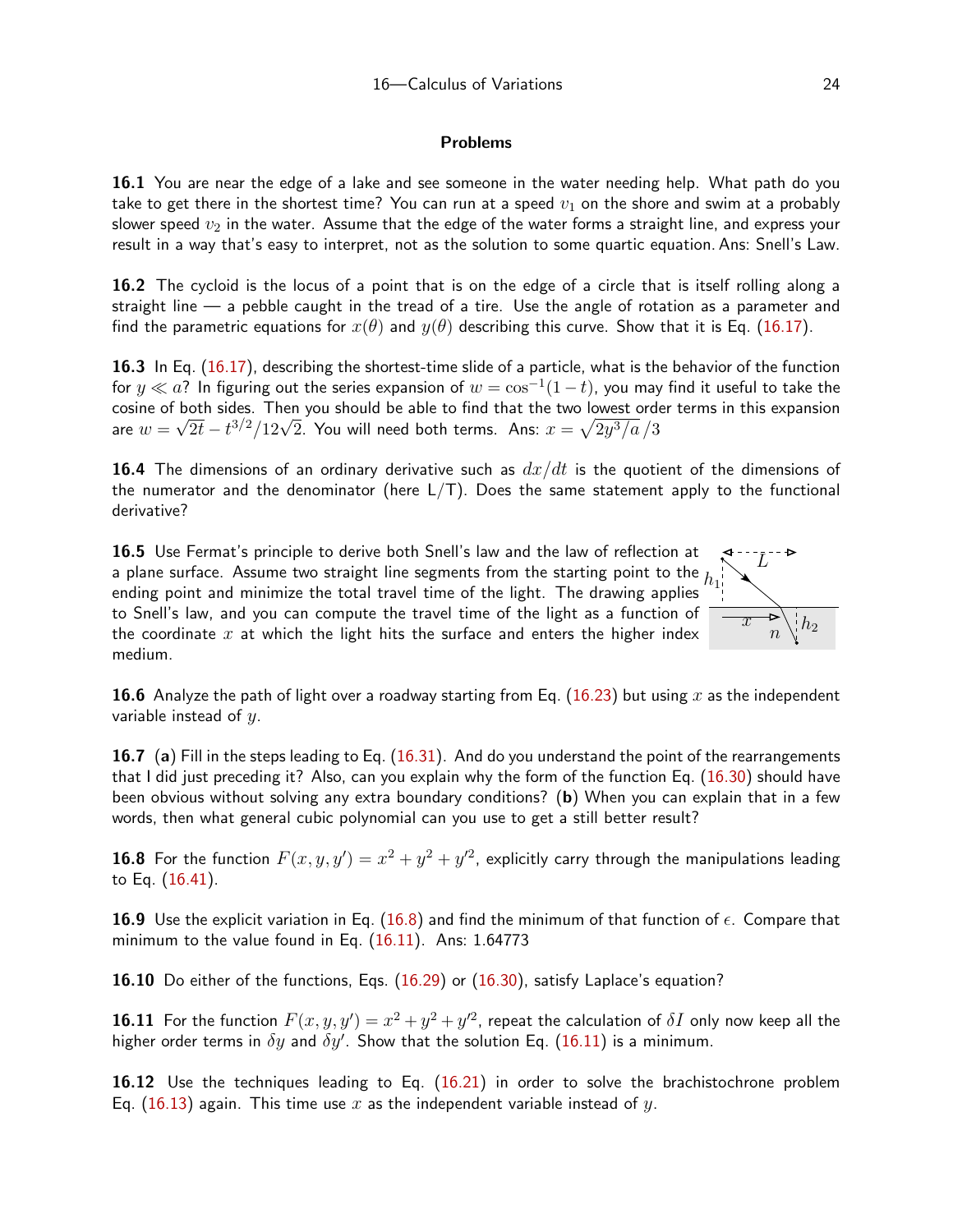#### Problems

16.1 You are near the edge of a lake and see someone in the water needing help. What path do you take to get there in the shortest time? You can run at a speed  $v_1$  on the shore and swim at a probably slower speed  $v_2$  in the water. Assume that the edge of the water forms a straight line, and express your result in a way that's easy to interpret, not as the solution to some quartic equation. Ans: Snell's Law.

<span id="page-23-1"></span>16.2 The cycloid is the locus of a point that is on the edge of a circle that is itself rolling along a straight line — a pebble caught in the tread of a tire. Use the angle of rotation as a parameter and find the parametric equations for  $x(\theta)$  and  $y(\theta)$  describing this curve. Show that it is Eq. ([16.1](#page-6-2)7).

16.3 In Eq. [\(16.1](#page-6-2)7), describing the shortest-time slide of a particle, what is the behavior of the function for  $y\ll a$ ? In figuring out the series expansion of  $w=\cos^{-1}(1-t)$ , you may find it useful to take the cosine of both sides. Then you should be able to find that the two lowest order terms in this expansion cosine or both sides. Then you should be able to find that the two lowest order<br>are  $w = \sqrt{2t} - t^{3/2}/12\sqrt{2}$ . You will need both terms. Ans:  $x = \sqrt{2y^3/a}/3$ 

**16.4** The dimensions of an ordinary derivative such as  $dx/dt$  is the quotient of the dimensions of the numerator and the denominator (here  $L/T$ ). Does the same statement apply to the functional derivative?

<span id="page-23-2"></span>a plane surface. Assume two straight line segments from the starting point to the  $h_1$ 16.5 Use Fermat's principle to derive both Snell's law and the law of reflection at ending point and minimize the total travel time of the light. The drawing applies to Snell's law, and you can compute the travel time of the light as a function of the coordinate  $x$  at which the light hits the surface and enters the higher index medium.



<span id="page-23-3"></span>**16.6** Analyze the path of light over a roadway starting from Eq. ([16.2](#page-7-0)3) but using x as the independent variable instead of  $y$ .

16.7 (a) Fill in the steps leading to Eq. ([16.3](#page-11-1)1). And do you understand the point of the rearrangements that I did just preceding it? Also, can you explain why the form of the function Eq. ([16.3](#page-10-0)0) should have been obvious without solving any extra boundary conditions? (b) When you can explain that in a few words, then what general cubic polynomial can you use to get a still better result?

**16.8** For the function  $F(x, y, y') = x^2 + y^2 + y'^2$ , explicitly carry through the manipulations leading to Eq. [\(16.4](#page-15-0)1).

**16.9** Use the explicit variation in Eq. ([16.8](#page-3-1)) and find the minimum of that function of  $\epsilon$ . Compare that minimum to the value found in Eq. [\(16.1](#page-4-2)1). Ans: 1.64773

16.10 Do either of the functions, Eqs. ([16.2](#page-10-1)9) or [\(16.3](#page-10-0)0), satisfy Laplace's equation?

**16.11** For the function  $F(x,y,y') = x^2 + y^2 + y'^2$ , repeat the calculation of  $\delta I$  only now keep all the higher order terms in  $\delta y$  and  $\delta y'$ . Show that the solution Eq. ([16.1](#page-4-2)1) is a minimum.

<span id="page-23-0"></span>16.12 Use the techniques leading to Eq. [\(16.2](#page-6-3)1) in order to solve the brachistochrone problem Eq. [\(16.1](#page-5-0)3) again. This time use x as the independent variable instead of y.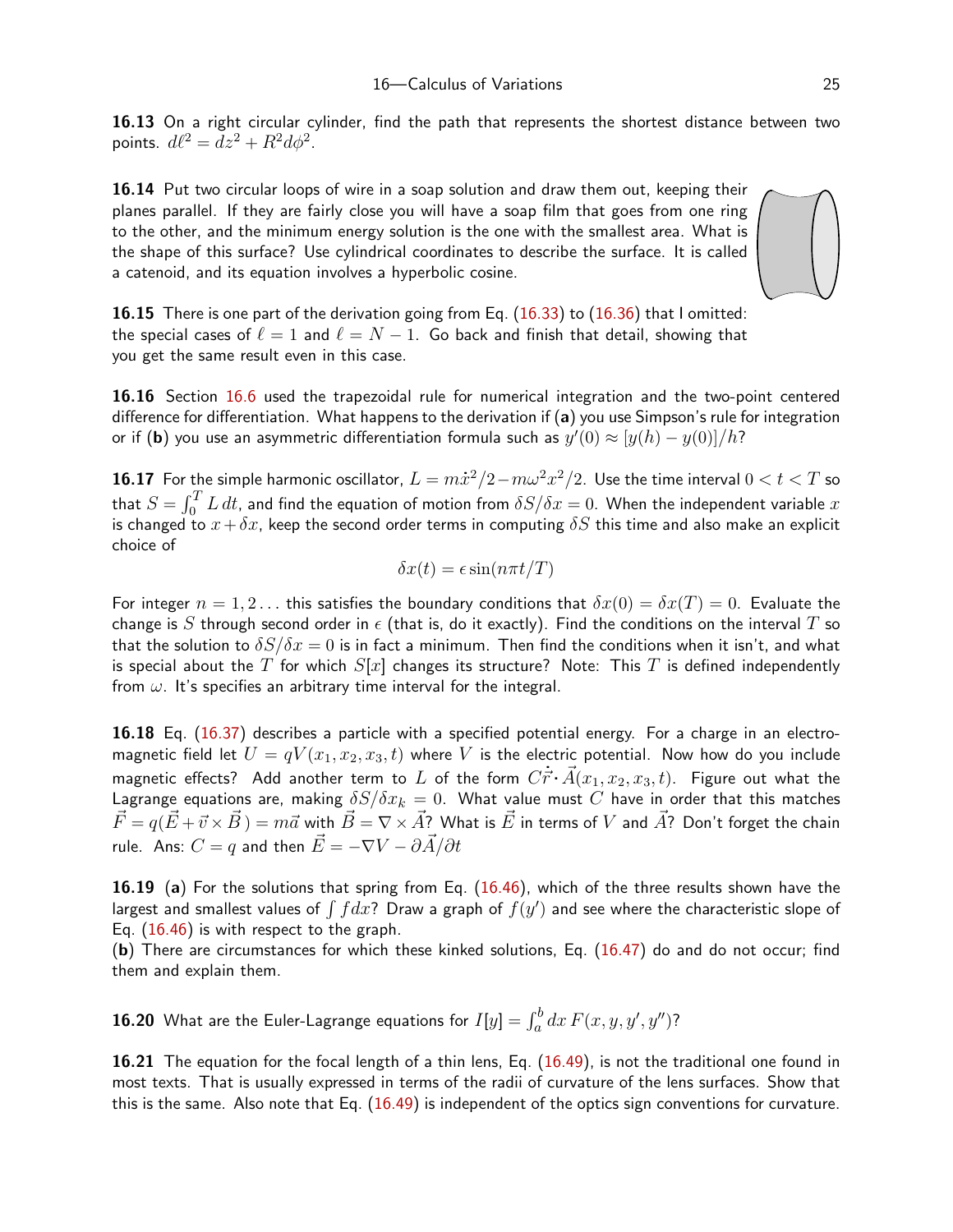16.13 On a right circular cylinder, find the path that represents the shortest distance between two points.  $d\ell^2 = dz^2 + R^2 d\phi^2$ .

16.14 Put two circular loops of wire in a soap solution and draw them out, keeping their planes parallel. If they are fairly close you will have a soap film that goes from one ring to the other, and the minimum energy solution is the one with the smallest area. What is the shape of this surface? Use cylindrical coordinates to describe the surface. It is called a catenoid, and its equation involves a hyperbolic cosine.

<span id="page-24-0"></span>16.15 There is one part of the derivation going from Eq. ([16.3](#page-12-0)3) to ([16.3](#page-12-3)6) that I omitted: the special cases of  $\ell = 1$  and  $\ell = N - 1$ . Go back and finish that detail, showing that you get the same result even in this case.

<span id="page-24-1"></span>16.16 Section [16.6](#page-11-0) used the trapezoidal rule for numerical integration and the two-point centered difference for differentiation. What happens to the derivation if (a) you use Simpson's rule for integration or if  $(\mathbf{b})$  you use an asymmetric differentiation formula such as  $y'(0) \approx [y(h) - y(0)]/h?$ 

<span id="page-24-3"></span> ${\bf 16.17}\;$  For the simple harmonic oscillator,  $L=m\dot{x}^2/2-m\omega^2x^2/2.$  Use the time interval  $0 < t < T$  so that  $S=\int_0^TL\,dt$  and find the equation of motion from  $\delta S/\delta x=0$ . When the independent variable  $x$ is changed to  $x+\delta x$ , keep the second order terms in computing  $\delta S$  this time and also make an explicit choice of

$$
\delta x(t) = \epsilon \sin(n\pi t/T)
$$

For integer  $n = 1, 2...$  this satisfies the boundary conditions that  $\delta x(0) = \delta x(T) = 0$ . Evaluate the change is S through second order in  $\epsilon$  (that is, do it exactly). Find the conditions on the interval T so that the solution to  $\delta S/\delta x = 0$  is in fact a minimum. Then find the conditions when it isn't, and what is special about the T for which  $S[x]$  changes its structure? Note: This T is defined independently from  $\omega$ . It's specifies an arbitrary time interval for the integral.

16.18 Eq. ([16.3](#page-13-0)7) describes a particle with a specified potential energy. For a charge in an electromagnetic field let  $U = qV(x_1, x_2, x_3, t)$  where V is the electric potential. Now how do you include magnetic effects? Add another term to L of the form  $C\vec{r} \cdot \vec{A}(x_1, x_2, x_3, t)$ . Figure out what the Lagrange equations are, making  $\delta S/\delta x_k = 0$ . What value must C have in order that this matches  $\vec{F} = q(\vec{E}+\vec{v}\times\vec{B}) = m\vec{a}$  with  $\vec{B}=\nabla\times\vec{A}$ ? What is  $\vec{E}$  in terms of V and  $\vec{A}$ ? Don't forget the chain rule. Ans:  $C = q$  and then  $\vec{E} = -\nabla V - \partial \vec{A}/\partial t$ 

<span id="page-24-2"></span>16.19 (a) For the solutions that spring from Eq. ([16.4](#page-18-0)6), which of the three results shown have the largest and smallest values of  $\int fdx$ ? Draw a graph of  $f(y')$  and see where the characteristic slope of Eq. [\(16.4](#page-18-0)6) is with respect to the graph.

(b) There are circumstances for which these kinked solutions, Eq.  $(16.47)$  $(16.47)$  $(16.47)$  do and do not occur; find them and explain them.

<span id="page-24-4"></span>**16.20** What are the Euler-Lagrange equations for  $I[y] = \int_a^b dx\, F(x,y,y',y'')$ ?

16.21 The equation for the focal length of a thin lens, Eq. ([16.4](#page-21-0)9), is not the traditional one found in most texts. That is usually expressed in terms of the radii of curvature of the lens surfaces. Show that this is the same. Also note that Eq. [\(16.4](#page-21-0)9) is independent of the optics sign conventions for curvature.